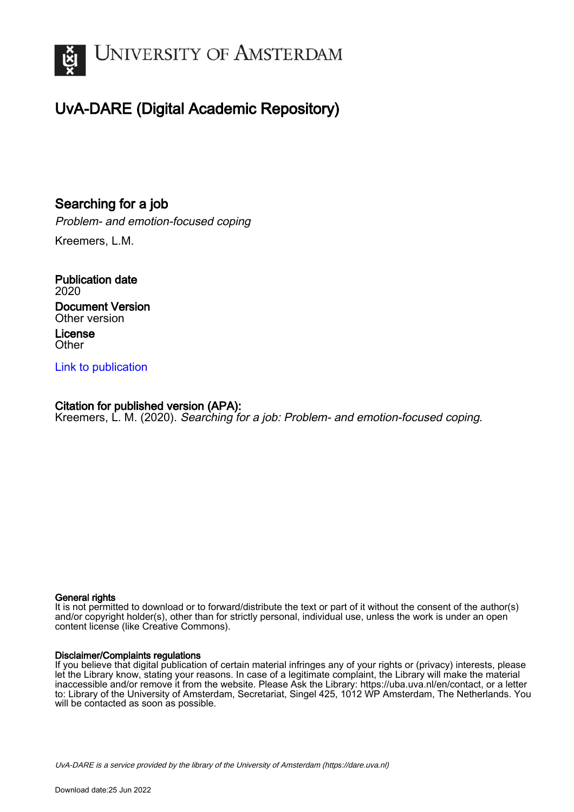

## UvA-DARE (Digital Academic Repository)

## Searching for a job

Problem- and emotion-focused coping

Kreemers, L.M.

Publication date 2020 Document Version Other version License **Other** 

[Link to publication](https://dare.uva.nl/personal/pure/en/publications/searching-for-a-job(a555f5f5-b832-45a7-864f-ed3831d06eee).html)

## Citation for published version (APA):

Kreemers, L. M. (2020). Searching for a job: Problem- and emotion-focused coping.

#### General rights

It is not permitted to download or to forward/distribute the text or part of it without the consent of the author(s) and/or copyright holder(s), other than for strictly personal, individual use, unless the work is under an open content license (like Creative Commons).

#### Disclaimer/Complaints regulations

If you believe that digital publication of certain material infringes any of your rights or (privacy) interests, please let the Library know, stating your reasons. In case of a legitimate complaint, the Library will make the material inaccessible and/or remove it from the website. Please Ask the Library: https://uba.uva.nl/en/contact, or a letter to: Library of the University of Amsterdam, Secretariat, Singel 425, 1012 WP Amsterdam, The Netherlands. You will be contacted as soon as possible.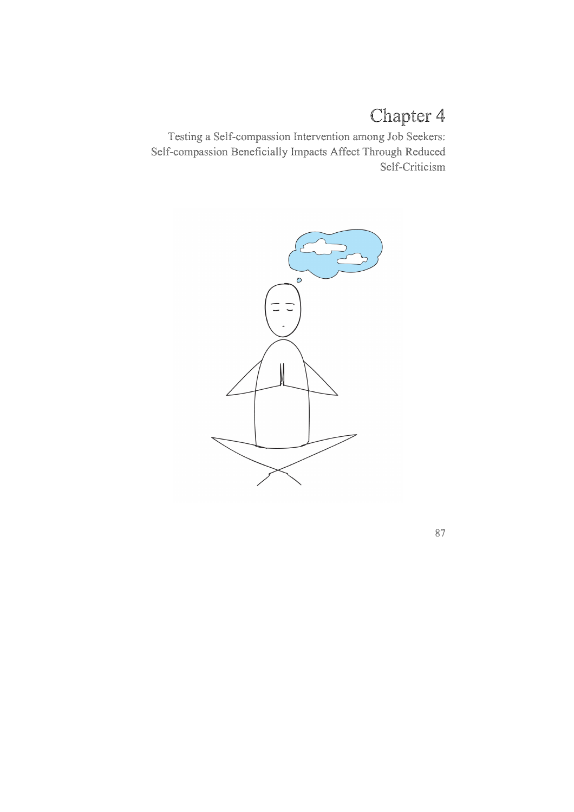# Chapter 4

Testing a Self-compassion Intervention among Job Seekers: Self-compassion Beneficially Impacts Affect Through Reduced Self-Criticism

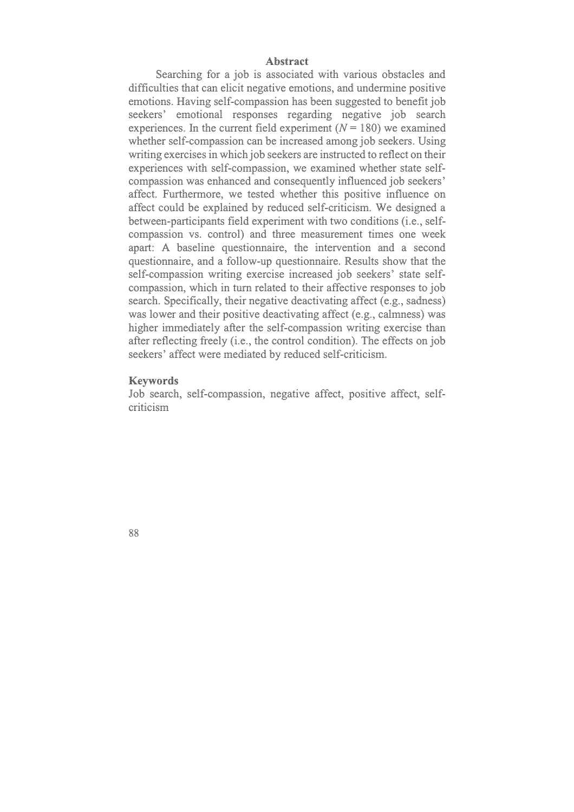#### **Abstract**

Searching for a job is associated with various obstacles and difficulties that can elicit negative emotions, and undermine positive emotions. Having self-compassion has been suggested to benefit job seekers' emotional responses regarding negative job search experiences. In the current field experiment  $(N = 180)$  we examined whether self-compassion can be increased among job seekers. Using writing exercises in which job seekers are instructed to reflect on their experiences with self-compassion, we examined whether state selfcompassion was enhanced and consequently influenced job seekers' affect. Furthermore, we tested whether this positive influence on affect could be explained by reduced self-criticism. We designed a between-participants field experiment with two conditions (i.e., selfcompassion vs. control) and three measurement times one week apart: A baseline questionnaire, the intervention and a second questionnaire, and a follow-up questionnaire. Results show that the self-compassion writing exercise increased job seekers' state selfcompassion, which in turn related to their affective responses to job search. Specifically, their negative deactivating affect (e.g., sadness) was lower and their positive deactivating affect (e.g., calmness) was higher immediately after the self-compassion writing exercise than after reflecting freely (i.e., the control condition). The effects on job seekers' affect were mediated by reduced self-criticism.

## **Keywords**

Job search, self-compassion, negative affect, positive affect, selfcriticism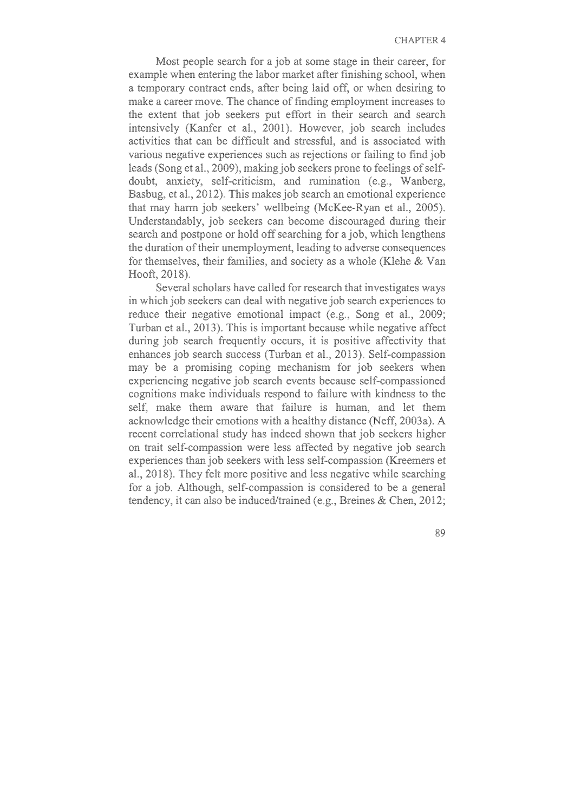Most people search for a job at some stage in their career, for example when entering the labor market after finishing school, when a temporary contract ends, after being laid off, or when desiring to make a career move. The chance of finding employment increases to the extent that job seekers put effort in their search and search intensively (Kanfer et al., 2001). However, job search includes activities that can be difficult and stressful, and is associated with various negative experiences such as rejections or failing to find job leads (Song et al., 2009), making job seekers prone to feelings of selfdoubt, anxiety, self-criticism, and rumination (e.g., Wanberg, Basbug, et al., 2012). This makes job search an emotional experience that may harm job seekers' wellbeing (McKee-Ryan et al., 2005). Understandably, job seekers can become discouraged during their search and postpone or hold off searching for a job, which lengthens the duration of their unemployment, leading to adverse consequences for themselves, their families, and society as a whole (Klehe & Van Hooft, 2018).

Several scholars have called for research that investigates ways in which job seekers can deal with negative job search experiences to reduce their negative emotional impact (e.g., Song et al., 2009; Turban et al., 2013). This is important because while negative affect during job search frequently occurs, it is positive affectivity that enhances job search success (Turban et al., 2013). Self-compassion may be a promising coping mechanism for job seekers when experiencing negative job search events because self-compassioned cognitions make individuals respond to failure with kindness to the self, make them aware that failure is human, and let them acknowledge their emotions with a healthy distance (Neff, 2003a). A recent correlational study has indeed shown that job seekers higher on trait self-compassion were less affected by negative job search experiences than job seekers with less self-compassion (Kreemers et al., 2018). They felt more positive and less negative while searching for a job. Although, self-compassion is considered to be a general tendency, it can also be induced/trained (e.g., Breines & Chen, 2012;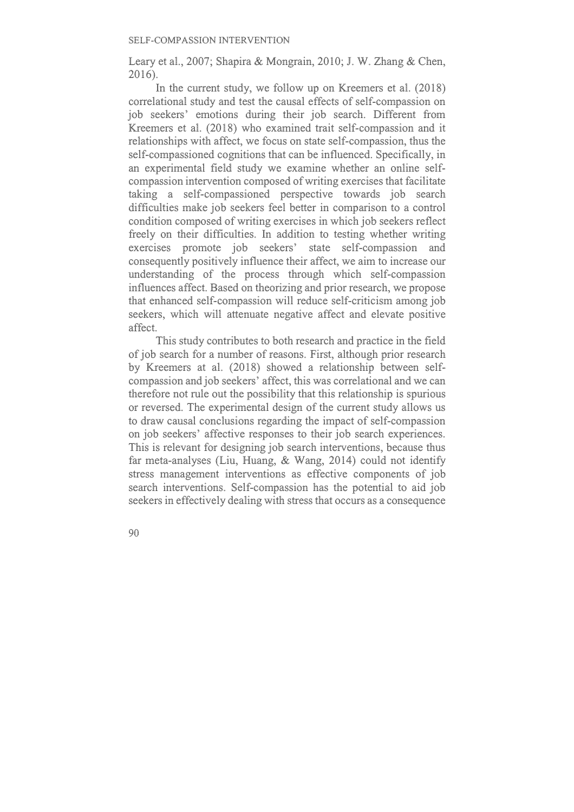Leary et al., 2007; Shapira & Mongrain, 2010; J. W. Zhang & Chen, 2016).

In the current study, we follow up on Kreemers et al. (2018) correlational study and test the causal effects of self-compassion on job seekers' emotions during their job search. Different from Kreemers et al. (2018) who examined trait self-compassion and it relationships with affect, we focus on state self-compassion, thus the self-compassioned cognitions that can be influenced. Specifically, in an experimental field study we examine whether an online selfcompassion intervention composed of writing exercises that facilitate taking a self-compassioned perspective towards job search difficulties make job seekers feel better in comparison to a control condition composed of writing exercises in which job seekers reflect freely on their difficulties. In addition to testing whether writing exercises promote job seekers' state self-compassion and consequently positively influence their affect, we aim to increase our understanding of the process through which self-compassion influences affect. Based on theorizing and prior research, we propose that enhanced self-compassion will reduce self-criticism among job seekers, which will attenuate negative affect and elevate positive affect.

This study contributes to both research and practice in the field of job search for a number of reasons. First, although prior research by Kreemers at al. (2018) showed a relationship between selfcompassion and job seekers' affect, this was correlational and we can therefore not rule out the possibility that this relationship is spurious or reversed. The experimental design of the current study allows us to draw causal conclusions regarding the impact of self-compassion on job seekers' affective responses to their job search experiences. This is relevant for designing job search interventions, because thus far meta-analyses (Liu, Huang, & Wang, 2014) could not identify stress management interventions as effective components of job search interventions. Self-compassion has the potential to aid job seekers in effectively dealing with stress that occurs as a consequence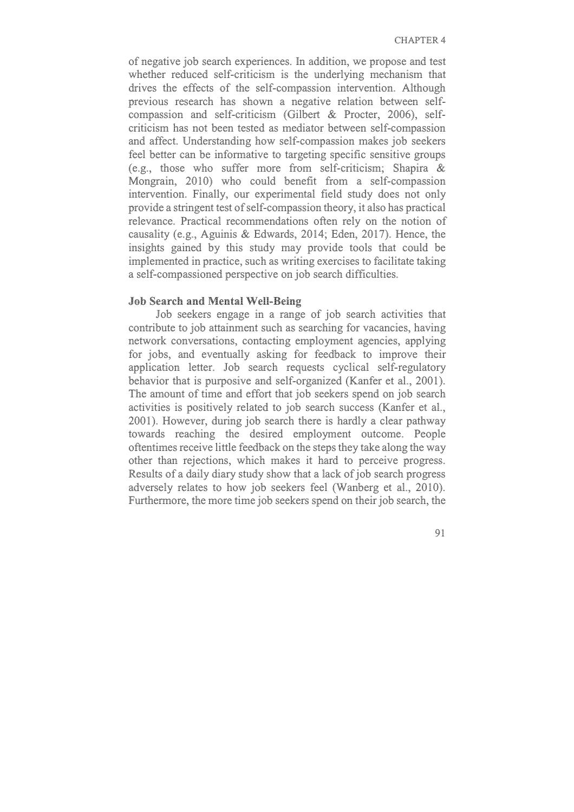of negative job search experiences. In addition, we propose and test whether reduced self-criticism is the underlying mechanism that drives the effects of the self-compassion intervention. Although previous research has shown a negative relation between selfcompassion and self-criticism (Gilbert & Procter, 2006), selfcriticism has not been tested as mediator between self-compassion and affect. Understanding how self-compassion makes job seekers feel better can be informative to targeting specific sensitive groups (e.g., those who suffer more from self-criticism; Shapira & Mongrain, 2010) who could benefit from a self-compassion intervention. Finally, our experimental field study does not only provide a stringent test of self-compassion theory, it also has practical relevance. Practical recommendations often rely on the notion of causality (e.g., Aguinis & Edwards, 2014; Eden, 2017). Hence, the insights gained by this study may provide tools that could be implemented in practice, such as writing exercises to facilitate taking a self-compassioned perspective on job search difficulties.

## **Job Search and Mental Well-Being**

Job seekers engage in a range of job search activities that contribute to job attainment such as searching for vacancies, having network conversations, contacting employment agencies, applying for jobs, and eventually asking for feedback to improve their application letter. Job search requests cyclical self-regulatory behavior that is purposive and self-organized (Kanfer et al., 2001). The amount of time and effort that job seekers spend on job search activities is positively related to job search success (Kanfer et al., 2001). However, during job search there is hardly a clear pathway towards reaching the desired employment outcome. People oftentimes receive little feedback on the steps they take along the way other than rejections, which makes it hard to perceive progress. Results of a daily diary study show that a lack of job search progress adversely relates to how job seekers feel (Wanberg et al., 2010). Furthermore, the more time job seekers spend on their job search, the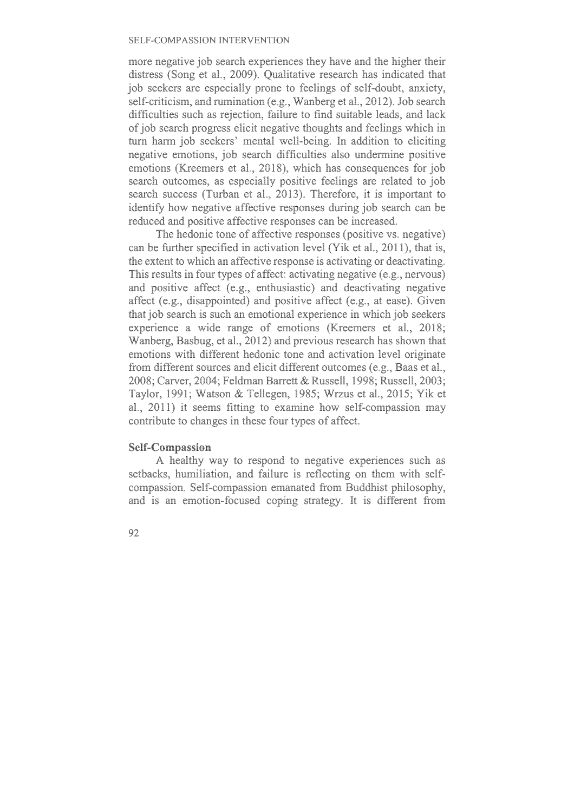more negative job search experiences they have and the higher their distress (Song et al., 2009). Qualitative research has indicated that job seekers are especially prone to feelings of self-doubt, anxiety, self-criticism, and rumination (e.g., Wanberg et al., 2012). Job search difficulties such as rejection, failure to find suitable leads, and lack of job search progress elicit negative thoughts and feelings which in turn harm job seekers' mental well-being. In addition to eliciting negative emotions, job search difficulties also undermine positive emotions (Kreemers et al., 2018), which has consequences for job search outcomes, as especially positive feelings are related to job search success (Turban et al., 2013). Therefore, it is important to identify how negative affective responses during job search can be reduced and positive affective responses can be increased.

The hedonic tone of affective responses (positive vs. negative) can be further specified in activation level (Yik et al., 2011), that is, the extent to which an affective response is activating or deactivating. This results in four types of affect: activating negative (e.g., nervous) and positive affect (e.g., enthusiastic) and deactivating negative affect (e.g., disappointed) and positive affect (e.g., at ease). Given that job search is such an emotional experience in which job seekers experience a wide range of emotions (Kreemers et al., 2018; Wanberg, Basbug, et al., 2012) and previous research has shown that emotions with different hedonic tone and activation level originate from different sources and elicit different outcomes (e.g., Baas et al., 2008; Carver, 2004; Feldman Barrett & Russell, 1998; Russell, 2003; Taylor, 1991; Watson & Tellegen, 1985; Wrzus et al., 2015; Yik et al., 2011) it seems fitting to examine how self-compassion may contribute to changes in these four types of affect.

## **Self-Compassion**

A healthy way to respond to negative experiences such as setbacks, humiliation, and failure is reflecting on them with selfcompassion. Self-compassion emanated from Buddhist philosophy, and is an emotion-focused coping strategy. It is different from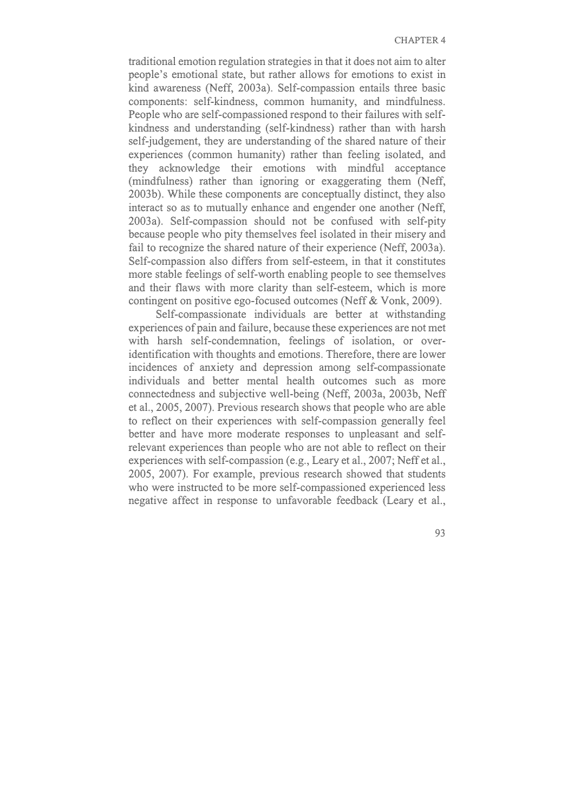traditional emotion regulation strategies in that it does not aim to alter people's emotional state, but rather allows for emotions to exist in kind awareness (Neff, 2003a). Self-compassion entails three basic components: self-kindness, common humanity, and mindfulness. People who are self-compassioned respond to their failures with selfkindness and understanding (self-kindness) rather than with harsh self-judgement, they are understanding of the shared nature of their experiences (common humanity) rather than feeling isolated, and they acknowledge their emotions with mindful acceptance (mindfulness) rather than ignoring or exaggerating them (Neff, 2003b). While these components are conceptually distinct, they also interact so as to mutually enhance and engender one another (Neff, 2003a). Self-compassion should not be confused with self-pity because people who pity themselves feel isolated in their misery and fail to recognize the shared nature of their experience (Neff, 2003a). Self-compassion also differs from self-esteem, in that it constitutes more stable feelings of self-worth enabling people to see themselves and their flaws with more clarity than self-esteem, which is more contingent on positive ego-focused outcomes (Neff & Vonk, 2009).

Self-compassionate individuals are better at withstanding experiences of pain and failure, because these experiences are not met with harsh self-condemnation, feelings of isolation, or overidentification with thoughts and emotions. Therefore, there are lower incidences of anxiety and depression among self-compassionate individuals and better mental health outcomes such as more connectedness and subjective well-being (Neff, 2003a, 2003b, Neff et al., 2005, 2007). Previous research shows that people who are able to reflect on their experiences with self-compassion generally feel better and have more moderate responses to unpleasant and selfrelevant experiences than people who are not able to reflect on their experiences with self-compassion (e.g., Leary et al., 2007; Neff et al., 2005, 2007). For example, previous research showed that students who were instructed to be more self-compassioned experienced less negative affect in response to unfavorable feedback (Leary et al.,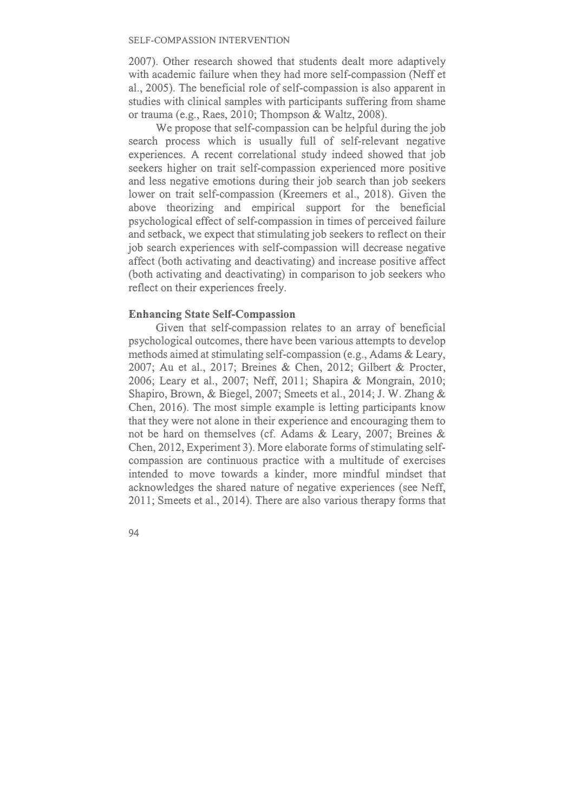2007). Other research showed that students dealt more adaptively with academic failure when they had more self-compassion (Neff et al., 2005). The beneficial role of self-compassion is also apparent in studies with clinical samples with participants suffering from shame or trauma (e.g., Raes, 2010; Thompson & Waltz, 2008).

We propose that self-compassion can be helpful during the job search process which is usually full of self-relevant negative experiences. A recent correlational study indeed showed that job seekers higher on trait self-compassion experienced more positive and less negative emotions during their job search than job seekers lower on trait self-compassion (Kreemers et al., 2018). Given the above theorizing and empirical support for the beneficial psychological effect of self-compassion in times of perceived failure and setback, we expect that stimulating job seekers to reflect on their job search experiences with self-compassion will decrease negative affect (both activating and deactivating) and increase positive affect (both activating and deactivating) in comparison to job seekers who reflect on their experiences freely.

## **Enhancing State Self-Compassion**

Given that self-compassion relates to an array of beneficial psychological outcomes, there have been various attempts to develop methods aimed at stimulating self-compassion (e.g., Adams & Leary, 2007; Au et al., 2017; Breines & Chen, 2012; Gilbert & Procter, 2006; Leary et al., 2007; Neff, 2011; Shapira & Mongrain, 2010; Shapiro, Brown, & Biegel, 2007; Smeets et al., 2014; J. W. Zhang & Chen, 2016). The most simple example is letting participants know that they were not alone in their experience and encouraging them to not be hard on themselves (cf. Adams & Leary, 2007; Breines & Chen, 2012, Experiment 3). More elaborate forms of stimulating selfcompassion are continuous practice with a multitude of exercises intended to move towards a kinder, more mindful mindset that acknowledges the shared nature of negative experiences (see Neff, 2011; Smeets et al., 2014). There are also various therapy forms that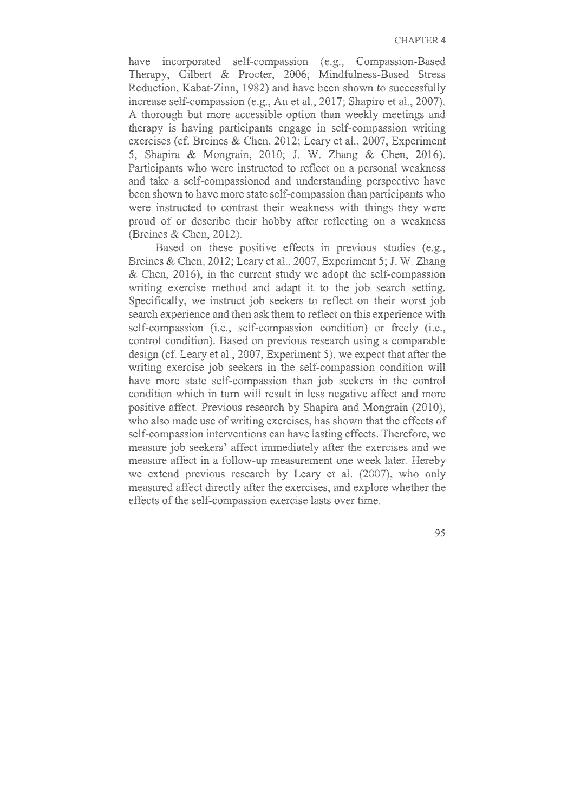have incorporated self-compassion (e.g., Compassion-Based Therapy, Gilbert & Procter, 2006; Mindfulness-Based Stress Reduction, Kabat-Zinn, 1982) and have been shown to successfully increase self-compassion (e.g., Au et al., 2017; Shapiro et al., 2007). A thorough but more accessible option than weekly meetings and therapy is having participants engage in self-compassion writing exercises (cf. Breines & Chen, 2012; Leary et al., 2007, Experiment 5; Shapira & Mongrain, 2010; J. W. Zhang & Chen, 2016). Participants who were instructed to reflect on a personal weakness and take a self-compassioned and understanding perspective have been shown to have more state self-compassion than participants who were instructed to contrast their weakness with things they were proud of or describe their hobby after reflecting on a weakness (Breines & Chen, 2012).

Based on these positive effects in previous studies (e.g., Breines & Chen, 2012; Leary et al., 2007, Experiment 5; J. W. Zhang & Chen, 2016), in the current study we adopt the self-compassion writing exercise method and adapt it to the job search setting. Specifically, we instruct job seekers to reflect on their worst job search experience and then ask them to reflect on this experience with self-compassion (i.e., self-compassion condition) or freely (i.e., control condition). Based on previous research using a comparable design (cf. Leary et al., 2007, Experiment 5), we expect that after the writing exercise job seekers in the self-compassion condition will have more state self-compassion than job seekers in the control condition which in turn will result in less negative affect and more positive affect. Previous research by Shapira and Mongrain (2010), who also made use of writing exercises, has shown that the effects of self-compassion interventions can have lasting effects. Therefore, we measure job seekers' affect immediately after the exercises and we measure affect in a follow-up measurement one week later. Hereby we extend previous research by Leary et al. (2007), who only measured affect directly after the exercises, and explore whether the effects of the self-compassion exercise lasts over time.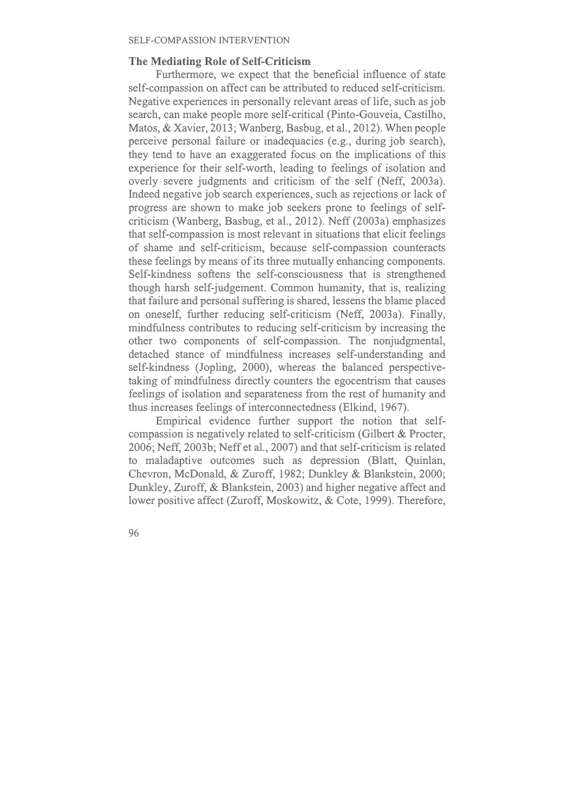## **The Mediating Role of Self-Criticism**

Furthermore, we expect that the beneficial influence of state self-compassion on affect can be attributed to reduced self-criticism. Negative experiences in personally relevant areas of life, such as job search, can make people more self-critical (Pinto-Gouveia, Castilho, Matos, & Xavier, 2013; Wanberg, Basbug, et al., 2012). When people perceive personal failure or inadequacies (e.g., during job search), they tend to have an exaggerated focus on the implications of this experience for their self-worth, leading to feelings of isolation and overly severe judgments and criticism of the self (Neff, 2003a). Indeed negative job search experiences, such as rejections or lack of progress are shown to make job seekers prone to feelings of selfcriticism (Wanberg, Basbug, et al., 2012). Neff (2003a) emphasizes that self-compassion is most relevant in situations that elicit feelings of shame and self-criticism, because self-compassion counteracts these feelings by means of its three mutually enhancing components. Self-kindness softens the self-consciousness that is strengthened though harsh self-judgement. Common humanity, that is, realizing that failure and personal suffering is shared, lessens the blame placed on oneself, further reducing self-criticism (Neff, 2003a). Finally, mindfulness contributes to reducing self-criticism by increasing the other two components of self-compassion. The nonjudgmental, detached stance of mindfulness increases self-understanding and self-kindness (Jopling, 2000), whereas the balanced perspectivetaking of mindfulness directly counters the egocentrism that causes feelings of isolation and separateness from the rest of humanity and thus increases feelings of interconnectedness (Elkind, 1967).

Empirical evidence further support the notion that selfcompassion is negatively related to self-criticism (Gilbert & Procter, 2006; Neff, 2003b; Neff et al., 2007) and that self-criticism is related to maladaptive outcomes such as depression (Blatt, Quinlan, Chevron, McDonald, & Zuroff, 1982; Dunkley & Blankstein, 2000; Dunkley, Zuroff, & Blankstein, 2003) and higher negative affect and lower positive affect (Zuroff, Moskowitz, & Cote, 1999). Therefore,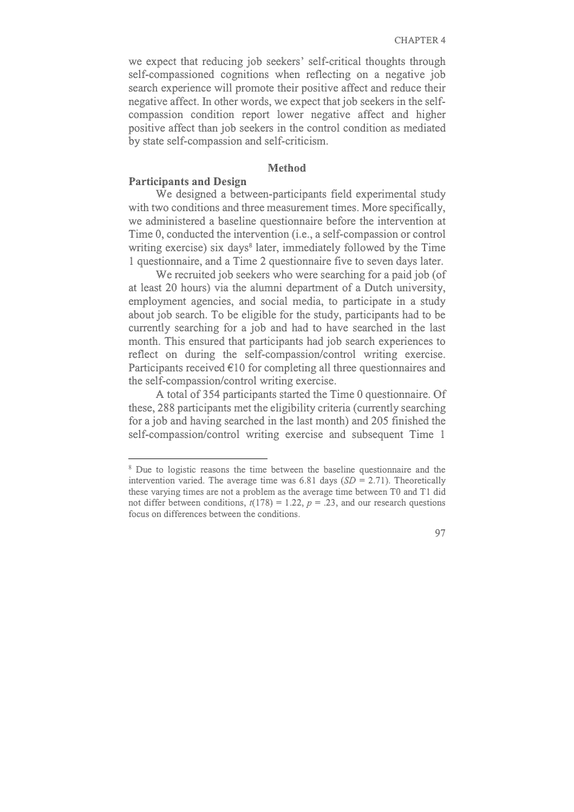we expect that reducing job seekers' self-critical thoughts through self-compassioned cognitions when reflecting on a negative job search experience will promote their positive affect and reduce their negative affect. In other words, we expect that job seekers in the selfcompassion condition report lower negative affect and higher positive affect than job seekers in the control condition as mediated by state self-compassion and self-criticism.

#### **Method**

## **Participants and Design**

We designed a between-participants field experimental study with two conditions and three measurement times. More specifically, we administered a baseline questionnaire before the intervention at Time 0, conducted the intervention (i.e., a self-compassion or control writing exercise) six days<sup>8</sup> later, immediately followed by the Time 1 questionnaire, and a Time 2 questionnaire five to seven days later.

We recruited job seekers who were searching for a paid job (of at least 20 hours) via the alumni department of a Dutch university, employment agencies, and social media, to participate in a study about job search. To be eligible for the study, participants had to be currently searching for a job and had to have searched in the last month. This ensured that participants had job search experiences to reflect on during the self-compassion/control writing exercise. Participants received €10 for completing all three questionnaires and the self-compassion/control writing exercise.

A total of 354 participants started the Time 0 questionnaire. Of these, 288 participants met the eligibility criteria (currently searching for a job and having searched in the last month) and 205 finished the self-compassion/control writing exercise and subsequent Time 1

<sup>&</sup>lt;sup>8</sup> Due to logistic reasons the time between the baseline questionnaire and the intervention varied. The average time was 6.81 days (*SD* = 2.71). Theoretically these varying times are not a problem as the average time between T0 and T1 did not differ between conditions,  $t(178) = 1.22$ ,  $p = .23$ , and our research questions focus on differences between the conditions.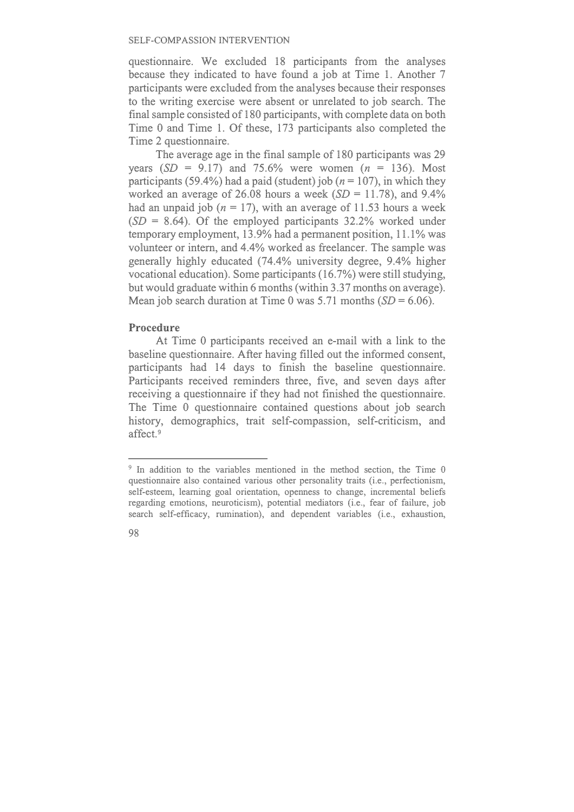questionnaire. We excluded 18 participants from the analyses because they indicated to have found a job at Time 1. Another 7 participants were excluded from the analyses because their responses to the writing exercise were absent or unrelated to job search. The final sample consisted of 180 participants, with complete data on both Time 0 and Time 1. Of these, 173 participants also completed the Time 2 questionnaire.

The average age in the final sample of 180 participants was 29 years  $(SD = 9.17)$  and 75.6% were women  $(n = 136)$ . Most participants (59.4%) had a paid (student) job ( $n = 107$ ), in which they worked an average of 26.08 hours a week (*SD* = 11.78), and 9.4% had an unpaid job  $(n = 17)$ , with an average of 11.53 hours a week (*SD* = 8.64). Of the employed participants 32.2% worked under temporary employment, 13.9% had a permanent position, 11.1% was volunteer or intern, and 4.4% worked as freelancer. The sample was generally highly educated (74.4% university degree, 9.4% higher vocational education). Some participants (16.7%) were still studying, but would graduate within 6 months (within 3.37 months on average). Mean job search duration at Time 0 was 5.71 months  $(SD = 6.06)$ .

#### **Procedure**

At Time 0 participants received an e-mail with a link to the baseline questionnaire. After having filled out the informed consent, participants had 14 days to finish the baseline questionnaire. Participants received reminders three, five, and seven days after receiving a questionnaire if they had not finished the questionnaire. The Time 0 questionnaire contained questions about job search history, demographics, trait self-compassion, self-criticism, and affect.<sup>9</sup>

<sup>&</sup>lt;sup>9</sup> In addition to the variables mentioned in the method section, the Time 0 questionnaire also contained various other personality traits (i.e., perfectionism, self-esteem, learning goal orientation, openness to change, incremental beliefs regarding emotions, neuroticism), potential mediators (i.e., fear of failure, job search self-efficacy, rumination), and dependent variables (i.e., exhaustion,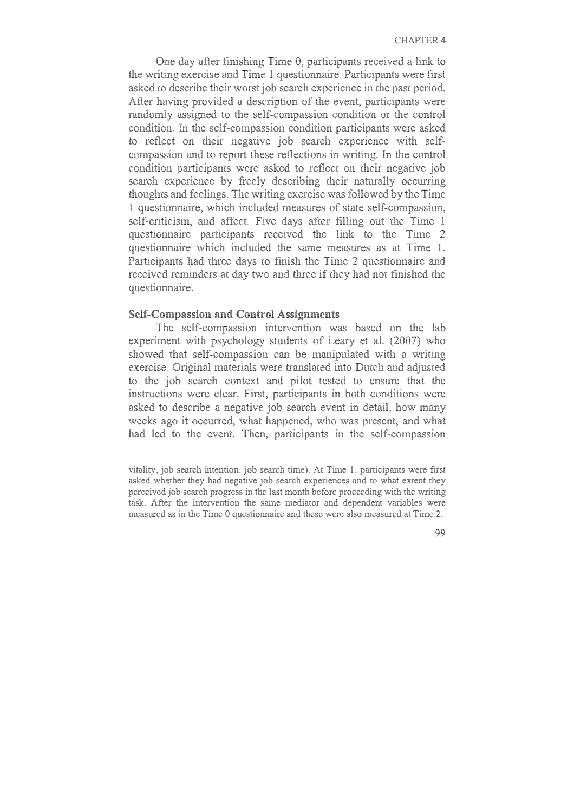One day after finishing Time 0, participants received a link to the writing exercise and Time 1 questionnaire. Participants were first asked to describe their worst job search experience in the past period. After having provided a description of the event, participants were randomly assigned to the self-compassion condition or the control condition. In the self-compassion condition participants were asked to reflect on their negative job search experience with selfcompassion and to report these reflections in writing. In the control condition participants were asked to reflect on their negative job search experience by freely describing their naturally occurring thoughts and feelings. The writing exercise was followed by the Time 1 questionnaire, which included measures of state self-compassion, self-criticism, and affect. Five days after filling out the Time 1 questionnaire participants received the link to the Time 2 questionnaire which included the same measures as at Time 1. Participants had three days to finish the Time 2 questionnaire and received reminders at day two and three if they had not finished the questionnaire.

#### **Self-Compassion and Control Assignments**

The self-compassion intervention was based on the lab experiment with psychology students of Leary et al. (2007) who showed that self-compassion can be manipulated with a writing exercise. Original materials were translated into Dutch and adjusted to the job search context and pilot tested to ensure that the instructions were clear. First, participants in both conditions were asked to describe a negative job search event in detail, how many weeks ago it occurred, what happened, who was present, and what had led to the event. Then, participants in the self-compassion

vitality, job search intention, job search time). At Time 1, participants were first asked whether they had negative job search experiences and to what extent they perceived job search progress in the last month before proceeding with the writing task. After the intervention the same mediator and dependent variables were measured as in the Time 0 questionnaire and these were also measured at Time 2.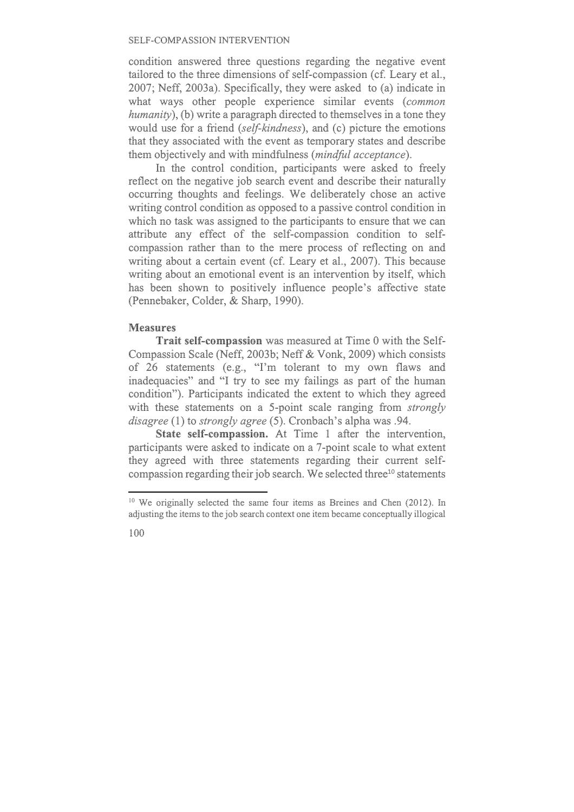condition answered three questions regarding the negative event tailored to the three dimensions of self-compassion (cf. Leary et al., 2007; Neff, 2003a). Specifically, they were asked to (a) indicate in what ways other people experience similar events (*common humanity*), (b) write a paragraph directed to themselves in a tone they would use for a friend (*self-kindness*), and (c) picture the emotions that they associated with the event as temporary states and describe them objectively and with mindfulness (*mindful acceptance*).

In the control condition, participants were asked to freely reflect on the negative job search event and describe their naturally occurring thoughts and feelings. We deliberately chose an active writing control condition as opposed to a passive control condition in which no task was assigned to the participants to ensure that we can attribute any effect of the self-compassion condition to selfcompassion rather than to the mere process of reflecting on and writing about a certain event (cf. Leary et al., 2007). This because writing about an emotional event is an intervention by itself, which has been shown to positively influence people's affective state (Pennebaker, Colder, & Sharp, 1990).

## **Measures**

**Trait self-compassion** was measured at Time 0 with the Self-Compassion Scale (Neff, 2003b; Neff & Vonk, 2009) which consists of 26 statements (e.g., "I'm tolerant to my own flaws and inadequacies" and "I try to see my failings as part of the human condition"). Participants indicated the extent to which they agreed with these statements on a 5-point scale ranging from *strongly disagree* (1) to *strongly agree* (5). Cronbach's alpha was .94.

**State self-compassion.** At Time 1 after the intervention, participants were asked to indicate on a 7-point scale to what extent they agreed with three statements regarding their current selfcompassion regarding their job search. We selected three<sup>10</sup> statements

<sup>&</sup>lt;sup>10</sup> We originally selected the same four items as Breines and Chen (2012). In adjusting the items to the job search context one item became conceptually illogical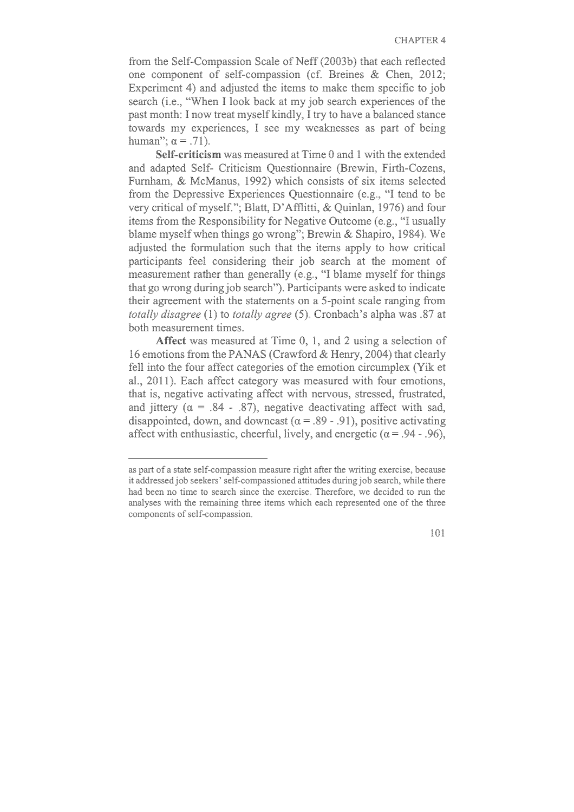from the Self-Compassion Scale of Neff (2003b) that each reflected one component of self-compassion (cf. Breines & Chen, 2012; Experiment 4) and adjusted the items to make them specific to job search (i.e., "When I look back at my job search experiences of the past month: I now treat myself kindly, I try to have a balanced stance towards my experiences, I see my weaknesses as part of being human";  $α = .71$ ).

**Self-criticism** was measured at Time 0 and 1 with the extended and adapted Self- Criticism Questionnaire (Brewin, Firth-Cozens, Furnham, & McManus, 1992) which consists of six items selected from the Depressive Experiences Questionnaire (e.g., "I tend to be very critical of myself."; Blatt, D'Afflitti, & Quinlan, 1976) and four items from the Responsibility for Negative Outcome (e.g., "I usually blame myself when things go wrong"; Brewin & Shapiro, 1984). We adjusted the formulation such that the items apply to how critical participants feel considering their job search at the moment of measurement rather than generally (e.g., "I blame myself for things that go wrong during job search"). Participants were asked to indicate their agreement with the statements on a 5-point scale ranging from *totally disagree* (1) to *totally agree* (5). Cronbach's alpha was .87 at both measurement times.

**Affect** was measured at Time 0, 1, and 2 using a selection of 16 emotions from the PANAS (Crawford & Henry, 2004) that clearly fell into the four affect categories of the emotion circumplex (Yik et al., 2011). Each affect category was measured with four emotions, that is, negative activating affect with nervous, stressed, frustrated, and jittery ( $\alpha = .84$  - .87), negative deactivating affect with sad, disappointed, down, and downcast ( $\alpha = .89 - .91$ ), positive activating affect with enthusiastic, cheerful, lively, and energetic  $(\alpha = .94 - .96)$ ,

as part of a state self-compassion measure right after the writing exercise, because it addressed job seekers' self-compassioned attitudes during job search, while there had been no time to search since the exercise. Therefore, we decided to run the analyses with the remaining three items which each represented one of the three components of self-compassion.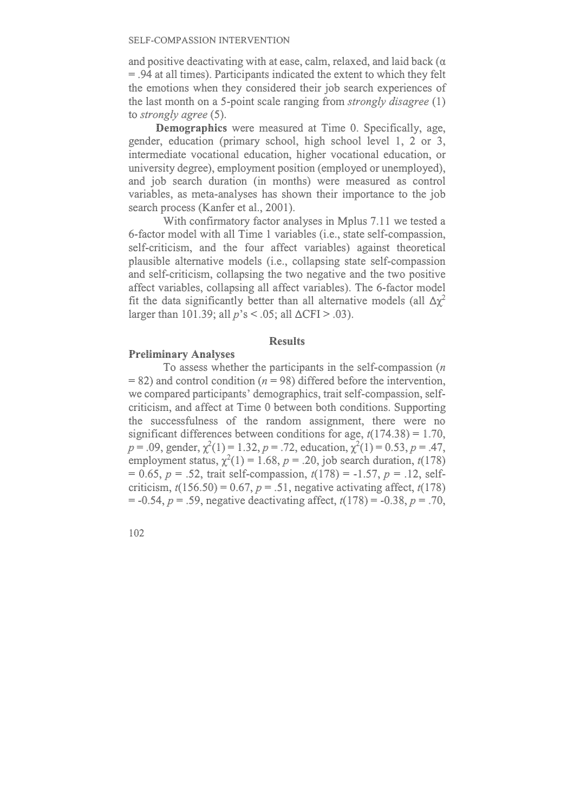and positive deactivating with at ease, calm, relaxed, and laid back (α = .94 at all times). Participants indicated the extent to which they felt the emotions when they considered their job search experiences of the last month on a 5-point scale ranging from *strongly disagree* (1) to *strongly agree* (5).

**Demographics** were measured at Time 0. Specifically, age, gender, education (primary school, high school level 1, 2 or 3, intermediate vocational education, higher vocational education, or university degree), employment position (employed or unemployed), and job search duration (in months) were measured as control variables, as meta-analyses has shown their importance to the job search process (Kanfer et al., 2001).

With confirmatory factor analyses in Mplus 7.11 we tested a 6-factor model with all Time 1 variables (i.e., state self-compassion, self-criticism, and the four affect variables) against theoretical plausible alternative models (i.e., collapsing state self-compassion and self-criticism, collapsing the two negative and the two positive affect variables, collapsing all affect variables). The 6-factor model fit the data significantly better than all alternative models (all  $\Delta \chi^2$ larger than 101.39; all *p*'s < .05; all ΔCFI > .03).

#### **Results**

## **Preliminary Analyses**

To assess whether the participants in the self-compassion (*n*   $= 82$ ) and control condition ( $n = 98$ ) differed before the intervention, we compared participants' demographics, trait self-compassion, selfcriticism, and affect at Time 0 between both conditions. Supporting the successfulness of the random assignment, there were no significant differences between conditions for age, *t*(174.38) = 1.70,  $p = .09$ , gender,  $\chi^2(1) = 1.32$ ,  $p = .72$ , education,  $\chi^2(1) = 0.53$ ,  $p = .47$ , employment status,  $\chi^2(1) = 1.68$ ,  $p = .20$ , job search duration,  $t(178)$ = 0.65, *p* = .52, trait self-compassion, *t*(178) = -1.57, *p* = .12, selfcriticism,  $t(156.50) = 0.67$ ,  $p = .51$ , negative activating affect,  $t(178)$ = -0.54, *p* = .59, negative deactivating affect, *t*(178) = -0.38, *p* = .70,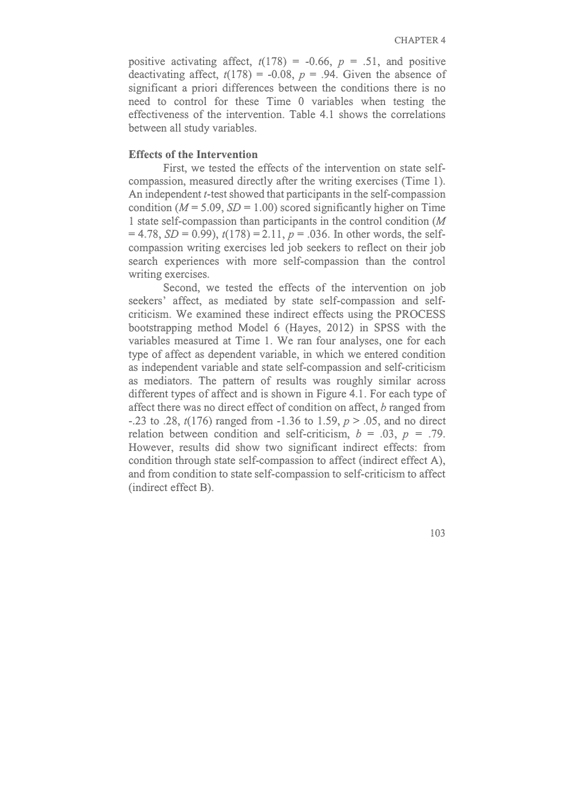positive activating affect,  $t(178) = -0.66$ ,  $p = .51$ , and positive deactivating affect,  $t(178) = -0.08$ ,  $p = .94$ . Given the absence of significant a priori differences between the conditions there is no need to control for these Time 0 variables when testing the effectiveness of the intervention. Table 4.1 shows the correlations between all study variables.

#### **Effects of the Intervention**

First, we tested the effects of the intervention on state selfcompassion, measured directly after the writing exercises (Time 1). An independent *t*-test showed that participants in the self-compassion condition ( $M = 5.09$ ,  $SD = 1.00$ ) scored significantly higher on Time 1 state self-compassion than participants in the control condition (*M*  $= 4.78$ , *SD* = 0.99),  $t(178) = 2.11$ ,  $p = .036$ . In other words, the selfcompassion writing exercises led job seekers to reflect on their job search experiences with more self-compassion than the control writing exercises.

Second, we tested the effects of the intervention on job seekers' affect, as mediated by state self-compassion and selfcriticism. We examined these indirect effects using the PROCESS bootstrapping method Model 6 (Hayes, 2012) in SPSS with the variables measured at Time 1. We ran four analyses, one for each type of affect as dependent variable, in which we entered condition as independent variable and state self-compassion and self-criticism as mediators. The pattern of results was roughly similar across different types of affect and is shown in Figure 4.1. For each type of affect there was no direct effect of condition on affect, *b* ranged from -.23 to .28, *t*(176) ranged from -1.36 to 1.59, *p* > .05, and no direct relation between condition and self-criticism,  $b = .03$ ,  $p = .79$ . However, results did show two significant indirect effects: from condition through state self-compassion to affect (indirect effect A), and from condition to state self-compassion to self-criticism to affect (indirect effect B).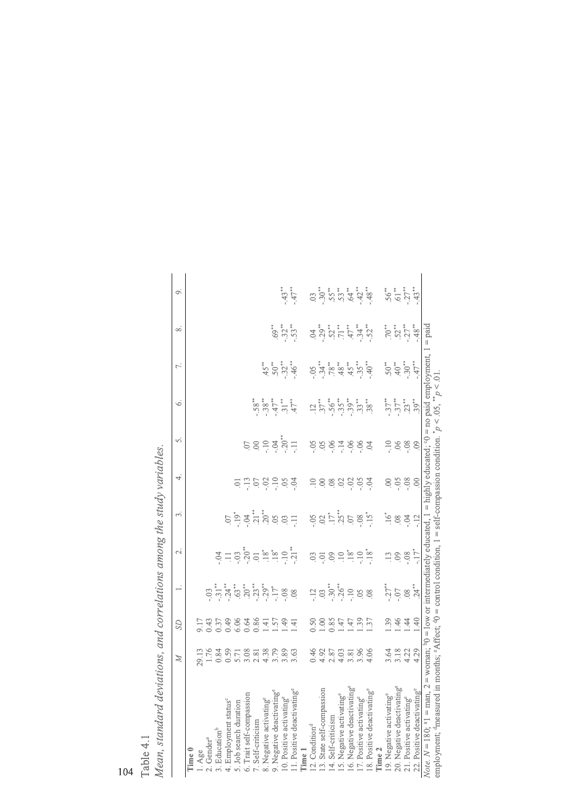|                                                                                                                                                                | $\mathbb{Z}$                                                            | S              | $\overline{\phantom{0}}$                                                                                                                                                                                   | N                                                                                                                                                                                                                                                                                                                                                                                                                                                                                                                   | 9                              | 4.           | vi.                     | ى                                                                                                                                                                    | Γ.              | ∞                                                             | o,                                                                                                                                                                                                                                                                                                                                                                                    |
|----------------------------------------------------------------------------------------------------------------------------------------------------------------|-------------------------------------------------------------------------|----------------|------------------------------------------------------------------------------------------------------------------------------------------------------------------------------------------------------------|---------------------------------------------------------------------------------------------------------------------------------------------------------------------------------------------------------------------------------------------------------------------------------------------------------------------------------------------------------------------------------------------------------------------------------------------------------------------------------------------------------------------|--------------------------------|--------------|-------------------------|----------------------------------------------------------------------------------------------------------------------------------------------------------------------|-----------------|---------------------------------------------------------------|---------------------------------------------------------------------------------------------------------------------------------------------------------------------------------------------------------------------------------------------------------------------------------------------------------------------------------------------------------------------------------------|
|                                                                                                                                                                |                                                                         |                |                                                                                                                                                                                                            |                                                                                                                                                                                                                                                                                                                                                                                                                                                                                                                     |                                |              |                         |                                                                                                                                                                      |                 |                                                               |                                                                                                                                                                                                                                                                                                                                                                                       |
| Time 0                                                                                                                                                         |                                                                         |                |                                                                                                                                                                                                            |                                                                                                                                                                                                                                                                                                                                                                                                                                                                                                                     |                                |              |                         |                                                                                                                                                                      |                 |                                                               |                                                                                                                                                                                                                                                                                                                                                                                       |
| l. Age                                                                                                                                                         |                                                                         |                |                                                                                                                                                                                                            |                                                                                                                                                                                                                                                                                                                                                                                                                                                                                                                     |                                |              |                         |                                                                                                                                                                      |                 |                                                               |                                                                                                                                                                                                                                                                                                                                                                                       |
| .Gender <sup>a</sup>                                                                                                                                           |                                                                         |                |                                                                                                                                                                                                            |                                                                                                                                                                                                                                                                                                                                                                                                                                                                                                                     |                                |              |                         |                                                                                                                                                                      |                 |                                                               |                                                                                                                                                                                                                                                                                                                                                                                       |
| . Education <sup>b</sup>                                                                                                                                       |                                                                         |                |                                                                                                                                                                                                            |                                                                                                                                                                                                                                                                                                                                                                                                                                                                                                                     |                                |              |                         |                                                                                                                                                                      |                 |                                                               |                                                                                                                                                                                                                                                                                                                                                                                       |
|                                                                                                                                                                |                                                                         |                |                                                                                                                                                                                                            |                                                                                                                                                                                                                                                                                                                                                                                                                                                                                                                     |                                |              |                         |                                                                                                                                                                      |                 |                                                               |                                                                                                                                                                                                                                                                                                                                                                                       |
| 4. Employment status <sup>c</sup><br>5. Job search duration                                                                                                    |                                                                         |                |                                                                                                                                                                                                            |                                                                                                                                                                                                                                                                                                                                                                                                                                                                                                                     |                                |              |                         |                                                                                                                                                                      |                 |                                                               |                                                                                                                                                                                                                                                                                                                                                                                       |
| 6. Trait self-compassion                                                                                                                                       |                                                                         |                |                                                                                                                                                                                                            |                                                                                                                                                                                                                                                                                                                                                                                                                                                                                                                     |                                |              |                         |                                                                                                                                                                      |                 |                                                               |                                                                                                                                                                                                                                                                                                                                                                                       |
| 7. Self-criticism                                                                                                                                              |                                                                         |                | $\ddot{\ddot{\phi}}_{3}^{*} = \ddot{\ddot{\phi}}_{3}^{*} + \ddot{\ddot{\phi}}_{3}^{*} + \ddot{\ddot{\phi}}_{3}^{*} + \ddot{\ddot{\phi}}_{3}^{*} + \ddot{\ddot{\phi}}_{3}^{*} + \ddot{\ddot{\phi}}_{3}^{*}$ | $\begin{array}{c}\n\stackrel{4}{\cancel{0}} & \stackrel{4}{\cancel{0}} & \stackrel{4}{\cancel{0}} & \stackrel{4}{\cancel{0}} & \stackrel{4}{\cancel{0}} & \stackrel{4}{\cancel{0}} & \stackrel{4}{\cancel{0}} & \stackrel{4}{\cancel{0}} & \stackrel{4}{\cancel{0}} & \stackrel{4}{\cancel{0}} & \stackrel{4}{\cancel{0}} & \stackrel{4}{\cancel{0}} & \stackrel{4}{\cancel{0}} & \stackrel{4}{\cancel{0}} & \stackrel{4}{\cancel{0}} & \stackrel{4}{\cancel{0}} & \stackrel{4}{\cancel{0}} & \stackrel{4}{\cancel$ | $5 - 3 + 5 + 6 + 6 = 5$        | 7587988      | 589777                  |                                                                                                                                                                      |                 |                                                               |                                                                                                                                                                                                                                                                                                                                                                                       |
|                                                                                                                                                                |                                                                         |                |                                                                                                                                                                                                            |                                                                                                                                                                                                                                                                                                                                                                                                                                                                                                                     |                                |              |                         |                                                                                                                                                                      |                 |                                                               |                                                                                                                                                                                                                                                                                                                                                                                       |
|                                                                                                                                                                |                                                                         |                |                                                                                                                                                                                                            |                                                                                                                                                                                                                                                                                                                                                                                                                                                                                                                     |                                |              |                         |                                                                                                                                                                      |                 | $63\overset{*}{\sim}$ $\overset{*}{\sim}$ $\overset{*}{\sim}$ |                                                                                                                                                                                                                                                                                                                                                                                       |
|                                                                                                                                                                |                                                                         | 1.49           |                                                                                                                                                                                                            |                                                                                                                                                                                                                                                                                                                                                                                                                                                                                                                     |                                |              |                         |                                                                                                                                                                      |                 |                                                               | $\begin{array}{c} \stackrel{\ast}{\rightarrow} \\ \stackrel{\ast}{\rightarrow} \\ \stackrel{\ast}{\rightarrow} \end{array}$                                                                                                                                                                                                                                                           |
| 8. Negative activating <sup>e</sup><br>9. Negative deactivating <sup>e</sup><br>10. Positive activating <sup>e</sup><br>11. Positive deactivating <sup>e</sup> |                                                                         | 1.41           |                                                                                                                                                                                                            |                                                                                                                                                                                                                                                                                                                                                                                                                                                                                                                     |                                |              |                         |                                                                                                                                                                      |                 |                                                               |                                                                                                                                                                                                                                                                                                                                                                                       |
| Cime 1                                                                                                                                                         |                                                                         |                |                                                                                                                                                                                                            |                                                                                                                                                                                                                                                                                                                                                                                                                                                                                                                     |                                |              |                         |                                                                                                                                                                      |                 |                                                               |                                                                                                                                                                                                                                                                                                                                                                                       |
| $12.$ Condition <sup>d</sup>                                                                                                                                   |                                                                         |                |                                                                                                                                                                                                            |                                                                                                                                                                                                                                                                                                                                                                                                                                                                                                                     |                                |              |                         |                                                                                                                                                                      |                 |                                                               |                                                                                                                                                                                                                                                                                                                                                                                       |
| 13. State self-compassion                                                                                                                                      |                                                                         |                |                                                                                                                                                                                                            |                                                                                                                                                                                                                                                                                                                                                                                                                                                                                                                     |                                |              |                         |                                                                                                                                                                      |                 |                                                               |                                                                                                                                                                                                                                                                                                                                                                                       |
| 4. Self-criticism                                                                                                                                              |                                                                         |                |                                                                                                                                                                                                            |                                                                                                                                                                                                                                                                                                                                                                                                                                                                                                                     |                                |              |                         |                                                                                                                                                                      |                 |                                                               |                                                                                                                                                                                                                                                                                                                                                                                       |
|                                                                                                                                                                |                                                                         |                |                                                                                                                                                                                                            |                                                                                                                                                                                                                                                                                                                                                                                                                                                                                                                     |                                |              |                         |                                                                                                                                                                      |                 |                                                               |                                                                                                                                                                                                                                                                                                                                                                                       |
| 15. Negative activating<br>16. Negative deactivating<br>17. Positive activating<br>18. Positive deactivating                                                   |                                                                         |                |                                                                                                                                                                                                            |                                                                                                                                                                                                                                                                                                                                                                                                                                                                                                                     |                                | 58888857     | 58879883                | $\vec{a}^{\dagger}_{\vec{b}}\vec{b}^{\dagger}_{\vec{b}}\vec{c}^{\dagger}_{\vec{b}}\vec{c}^{\dagger}_{\vec{b}}\vec{c}^{\dagger}_{\vec{c}}\vec{c}^{\dagger}_{\vec{c}}$ |                 |                                                               |                                                                                                                                                                                                                                                                                                                                                                                       |
|                                                                                                                                                                |                                                                         |                |                                                                                                                                                                                                            |                                                                                                                                                                                                                                                                                                                                                                                                                                                                                                                     |                                |              |                         |                                                                                                                                                                      |                 |                                                               |                                                                                                                                                                                                                                                                                                                                                                                       |
|                                                                                                                                                                |                                                                         |                |                                                                                                                                                                                                            |                                                                                                                                                                                                                                                                                                                                                                                                                                                                                                                     |                                |              |                         |                                                                                                                                                                      |                 |                                                               |                                                                                                                                                                                                                                                                                                                                                                                       |
| Time 2                                                                                                                                                         |                                                                         |                |                                                                                                                                                                                                            |                                                                                                                                                                                                                                                                                                                                                                                                                                                                                                                     |                                |              |                         |                                                                                                                                                                      |                 |                                                               |                                                                                                                                                                                                                                                                                                                                                                                       |
| 19. Negative activating<br>° $20.$ Negative deactivating<br>° $21.$ Positive activating $^\circ$                                                               |                                                                         |                | $\frac{1}{27}$ $\frac{1}{29}$ $\frac{1}{29}$ $\frac{1}{29}$                                                                                                                                                |                                                                                                                                                                                                                                                                                                                                                                                                                                                                                                                     |                                |              |                         |                                                                                                                                                                      | $50^{11}_{-30}$ | 577720                                                        | $\begin{array}{c} 1 \\ 5 \\ 6 \\ 7 \\ 1 \\ 3 \\ 4 \\ 3 \\ 5 \\ 4 \\ 5 \\ 6 \\ 7 \\ 7 \\ 8 \\ 9 \\ 1 \\ 1 \\ 4 \\ 2 \\ 5 \\ 4 \\ 5 \\ 4 \\ 5 \\ 6 \\ 7 \\ 4 \\ 9 \\ 1 \\ 4 \\ 1 \\ 5 \\ 4 \\ 1 \\ 5 \\ 4 \\ 5 \\ 4 \\ 5 \\ 5 \\ 6 \\ 7 \\ 8 \\ 9 \\ 1 \\ 1 \\ 4 \\ 1 \\ 5 \\ 1 \\ 5 \\ 1 \\ 5 \\ 4 \\ 5 \\ 6 \\ 7 \\ 8 \\ 9 \\ 1 \\ 1 \\ 1 \\ 1 \\ 1 \\ 1 \\ 1 \\ 1 \\ 1 \\ 1 \\ 1 \\$ |
|                                                                                                                                                                |                                                                         | $-144$         |                                                                                                                                                                                                            | $1.887 + 1.7$                                                                                                                                                                                                                                                                                                                                                                                                                                                                                                       | بع بي چ <i>ڏ</i><br>ن          | 8.58         | 288                     |                                                                                                                                                                      |                 |                                                               |                                                                                                                                                                                                                                                                                                                                                                                       |
|                                                                                                                                                                |                                                                         |                |                                                                                                                                                                                                            |                                                                                                                                                                                                                                                                                                                                                                                                                                                                                                                     |                                |              |                         |                                                                                                                                                                      |                 |                                                               |                                                                                                                                                                                                                                                                                                                                                                                       |
| 22. Positive deactivating <sup>e</sup>                                                                                                                         |                                                                         | $\frac{40}{5}$ |                                                                                                                                                                                                            |                                                                                                                                                                                                                                                                                                                                                                                                                                                                                                                     | $-12$                          | $\mathbb{S}$ | $\ddot{\odot}$          |                                                                                                                                                                      | $-47**$         |                                                               |                                                                                                                                                                                                                                                                                                                                                                                       |
| employment; <sup>d</sup> measured in months; <sup>e</sup> Affect; <sup>4</sup> 0 = control condition, 1<br><i>Note.</i> $N = 180$ ; <sup>a</sup> 1 = man, 2    | = woman; $0 =$ low or intermediately educated, $1 =$ highly educated; 0 |                |                                                                                                                                                                                                            |                                                                                                                                                                                                                                                                                                                                                                                                                                                                                                                     | $=$ self-compassion condition. |              | $\overline{\mathbf{u}}$ | no paid employment, 1 = paid<br>Ś,<br>$\geq d$                                                                                                                       |                 |                                                               |                                                                                                                                                                                                                                                                                                                                                                                       |
|                                                                                                                                                                |                                                                         |                |                                                                                                                                                                                                            |                                                                                                                                                                                                                                                                                                                                                                                                                                                                                                                     |                                |              |                         |                                                                                                                                                                      |                 |                                                               |                                                                                                                                                                                                                                                                                                                                                                                       |

Table 4.1<br>Mean, standard deviations, and correlations among the study variables. *Mean, standard deviations, and correlations among the study variables.* 

| þ | ۰, |
|---|----|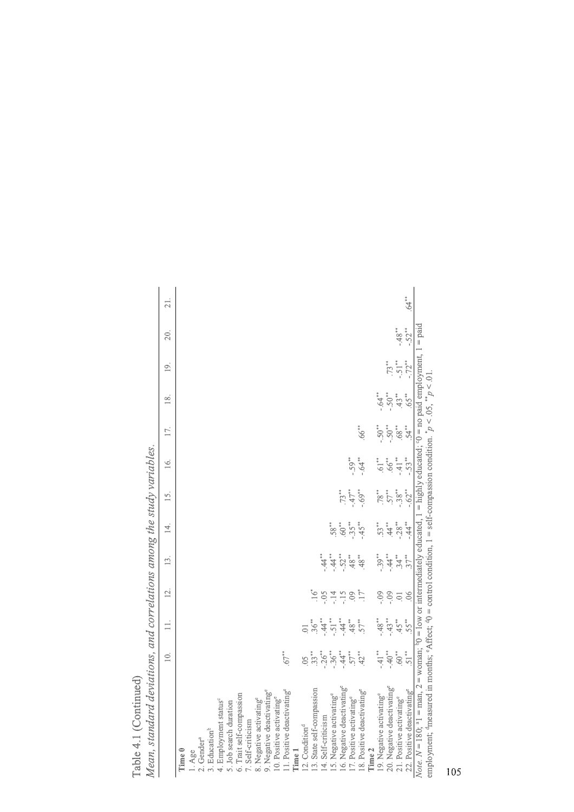| Mean, standard deviations, and correlations among the study variables.                                                                                                                              |                     |                    |                   |                   |                  |                     |                     |            |           |                |          |          |
|-----------------------------------------------------------------------------------------------------------------------------------------------------------------------------------------------------|---------------------|--------------------|-------------------|-------------------|------------------|---------------------|---------------------|------------|-----------|----------------|----------|----------|
|                                                                                                                                                                                                     | $\leq$              | $\equiv$           | $\overline{12}$ . | $\overline{13}$ . | $\overline{4}$ . | 15.                 | $\leq$              | 17.        | 18.       | $\overline{9}$ | 2Ó.      | 21.      |
| Time 0                                                                                                                                                                                              |                     |                    |                   |                   |                  |                     |                     |            |           |                |          |          |
| $1. \text{Age}$                                                                                                                                                                                     |                     |                    |                   |                   |                  |                     |                     |            |           |                |          |          |
| 2. Gender <sup>a</sup>                                                                                                                                                                              |                     |                    |                   |                   |                  |                     |                     |            |           |                |          |          |
| 3. Education <sup>b</sup>                                                                                                                                                                           |                     |                    |                   |                   |                  |                     |                     |            |           |                |          |          |
| 4. Employment status <sup>c</sup>                                                                                                                                                                   |                     |                    |                   |                   |                  |                     |                     |            |           |                |          |          |
| 5. Job search duration                                                                                                                                                                              |                     |                    |                   |                   |                  |                     |                     |            |           |                |          |          |
| 6. Trait self-compassion                                                                                                                                                                            |                     |                    |                   |                   |                  |                     |                     |            |           |                |          |          |
| 7. Self-criticism                                                                                                                                                                                   |                     |                    |                   |                   |                  |                     |                     |            |           |                |          |          |
| 8. Negative activating <sup>e</sup>                                                                                                                                                                 |                     |                    |                   |                   |                  |                     |                     |            |           |                |          |          |
| 9. Negative deactivating <sup>e</sup>                                                                                                                                                               |                     |                    |                   |                   |                  |                     |                     |            |           |                |          |          |
| 10. Positive activating <sup>e</sup>                                                                                                                                                                |                     |                    |                   |                   |                  |                     |                     |            |           |                |          |          |
| 1. Positive deactivating <sup>e</sup>                                                                                                                                                               | $67**$              |                    |                   |                   |                  |                     |                     |            |           |                |          |          |
| Time 1                                                                                                                                                                                              |                     |                    |                   |                   |                  |                     |                     |            |           |                |          |          |
| 12. Condition <sup>d</sup>                                                                                                                                                                          | S                   |                    |                   |                   |                  |                     |                     |            |           |                |          |          |
| 13. State self-compassion                                                                                                                                                                           | $33**$              | $.36***$           |                   |                   |                  |                     |                     |            |           |                |          |          |
| 14. Self-criticism                                                                                                                                                                                  | $-26$ <sup>**</sup> | $-44$              | $-0.5$            | $44**$            |                  |                     |                     |            |           |                |          |          |
| 15. Negative activating <sup>e</sup>                                                                                                                                                                | $-36**$             | $-51$              | $-14$             | $44 \times$       | 58*              |                     |                     |            |           |                |          |          |
| 16. Negative deactivating <sup>e</sup>                                                                                                                                                              | $-44$               | $-44$              | $-15$             | $-52**$           | 60°              | $73**$              |                     |            |           |                |          |          |
| 17. Positive activating <sup>e</sup>                                                                                                                                                                | $57**$              | $48^{\circ}$       | SÒ.               | $^{**}$ 87        | $-35**$          | $-47$ <sup>**</sup> | $-59**$             |            |           |                |          |          |
| 18. Positive deactivating <sup>e</sup>                                                                                                                                                              | $42$ <sup>**</sup>  | 57*                | 17*               | $^{**}$ 87        | $-45**$          | $-69$ <sup>**</sup> | $+4.64$             | 66.        |           |                |          |          |
| Time 2                                                                                                                                                                                              |                     |                    |                   |                   |                  |                     |                     |            |           |                |          |          |
| 19. Negative activating <sup>e</sup>                                                                                                                                                                | $-41**$             | $-48$              | - 99              | $-.39***$         | 53*              | 78**                | $61**$              | $-50^{**}$ | $-64$     |                |          |          |
| 20. Negative deactivating <sup>e</sup>                                                                                                                                                              | $-40$ <sup>**</sup> | $-.43***$          | $-0.99$           | $-44$             | 44               | $57**$              | $.66***$            | $-50***$   | $-.50***$ | $73**$         |          |          |
| 21. Positive activating <sup>e</sup>                                                                                                                                                                | 60,                 | $45$ <sup>**</sup> | $\sum_{i=1}^{n}$  | $34**$            | $-28***$         | $-.38***$           | $-41$ **            | 68**       | $43**$    | $-51**$        | $-48$ ** |          |
| 22. Positive deactivating <sup>e</sup>                                                                                                                                                              | $51**$              | 55*                | 06                | $37**$            | $-44$            | $-62**$             | $-53$ <sup>**</sup> | $.54**$    | $.65**$   | $-72**$        | $-.52**$ | $.64***$ |
| Note. $N = 180$ ; <sup>a</sup> 1 = man, 2 = woman; <sup>b</sup> 0 = low or intermediately educated, 1 = highly educated; <sup>o</sup> 0 = no paid employment, 1 = paid                              |                     |                    |                   |                   |                  |                     |                     |            |           |                |          |          |
| employment; $\frac{4}{3}$ measured in months; $\frac{6}{3}$ Affect; $\frac{40}{3}$ = control condition, 1 = self-compassion condition. $\frac{1}{6}$ $\sigma$ < 0.05, $\frac{1}{6}$ $\sigma$ < 0.1. |                     |                    |                   |                   |                  |                     |                     |            |           |                |          |          |
|                                                                                                                                                                                                     |                     |                    |                   |                   |                  |                     |                     |            |           |                |          |          |

Table 4.1 (Continued) Table 4.1 (Continued)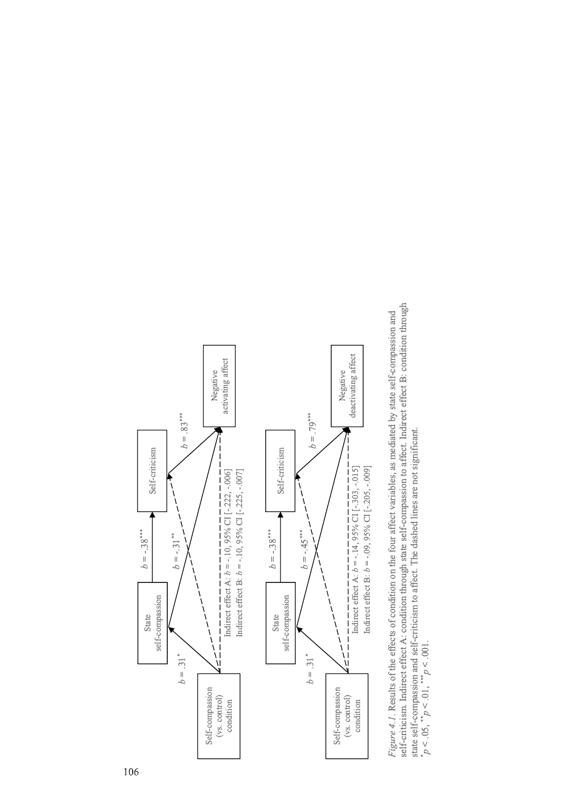

condition

Indirect effect A: *b* = -.10, 95% CI [-.222, -.006]

Negative activating affect

activating affect

 $b = .83***$ 



self-criticism. Indirect effect A: condition through state self-compassion to affect. Indirect effect B: condition through self-criticism. Indirect effect A: condition through state self-compassion to affect. Indirect effect B: condition through Figure 4.1. Results of the effects of condition on the four affect variables, as mediated by state self-compassion and *Figure 4.1*. Results of the effects of condition on the four affect variables, as mediated by state self-compassion and state self-compassion and self-criticism to affect. The dashed lines are not significant. state self-compassion and self-criticism to affect. The dashed lines are not significant.  $p < 0.05,$  \*\* $p < 0.01,$  \*\*\* $p < 0.001$ . \*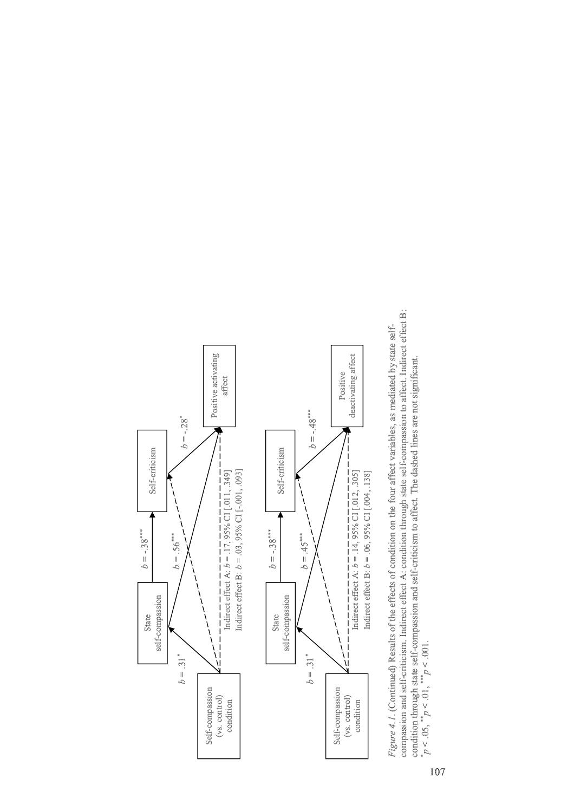

compassion and self-criticism. Indirect effect A: condition through state self-compassion to affect. Indirect effect B: compassion and self-criticism. Indirect effect A: condition through state self-compassion to affect. Indirect effect B: Figure 4.1. (Continued) Results of the effects of condition on the four affect variables, as mediated by state self-*Figure 4.1*. (Continued) Results of the effects of condition on the four affect variables, as mediated by state selfcondition through state self-compassion and self-criticism to affect. The dashed lines are not significant.  $p < 0.05,$  \*\* $p < 0.01,$  \*\*\* $p < 0.001$ . \*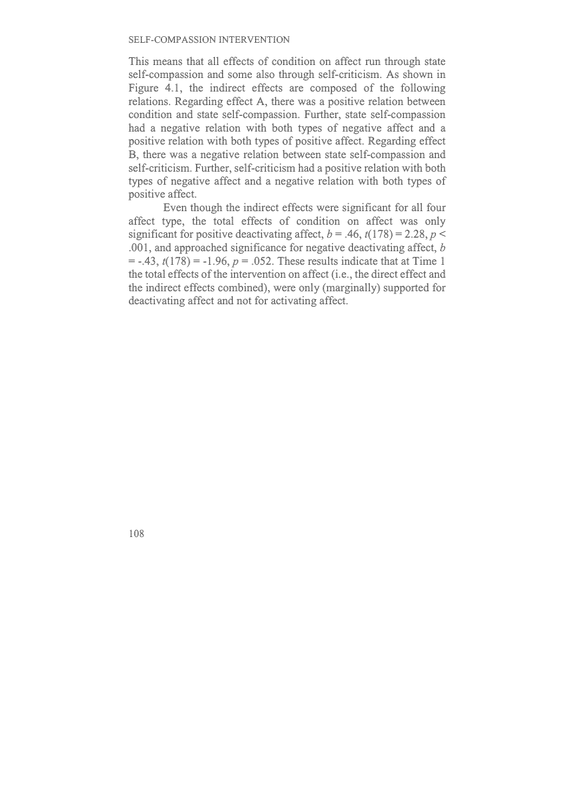This means that all effects of condition on affect run through state self-compassion and some also through self-criticism. As shown in Figure 4.1, the indirect effects are composed of the following relations. Regarding effect A, there was a positive relation between condition and state self-compassion. Further, state self-compassion had a negative relation with both types of negative affect and a positive relation with both types of positive affect. Regarding effect B, there was a negative relation between state self-compassion and self-criticism. Further, self-criticism had a positive relation with both types of negative affect and a negative relation with both types of positive affect.

Even though the indirect effects were significant for all four affect type, the total effects of condition on affect was only significant for positive deactivating affect,  $b = .46$ ,  $t(178) = 2.28$ ,  $p <$ .001, and approached significance for negative deactivating affect, *b*  $=$  -.43,  $t(178) = -1.96$ ,  $p = 0.052$ . These results indicate that at Time 1 the total effects of the intervention on affect (i.e., the direct effect and the indirect effects combined), were only (marginally) supported for deactivating affect and not for activating affect.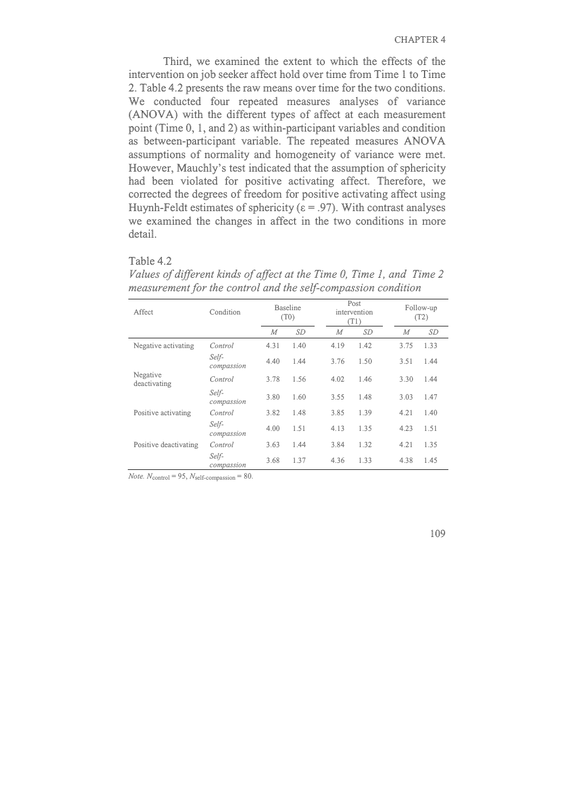Third, we examined the extent to which the effects of the intervention on job seeker affect hold over time from Time 1 to Time 2. Table 4.2 presents the raw means over time for the two conditions. We conducted four repeated measures analyses of variance (ANOVA) with the different types of affect at each measurement point (Time 0, 1, and 2) as within-participant variables and condition as between-participant variable. The repeated measures ANOVA assumptions of normality and homogeneity of variance were met. However, Mauchly's test indicated that the assumption of sphericity had been violated for positive activating affect. Therefore, we corrected the degrees of freedom for positive activating affect using Huynh-Feldt estimates of sphericity ( $\varepsilon$  = .97). With contrast analyses we examined the changes in affect in the two conditions in more detail.

#### Table 4.2

| Affect                   | Condition           |      | <b>Baseline</b><br>(T0) |      | Post<br>intervention<br>(T1) |      | Follow-up<br>(T2) |  |
|--------------------------|---------------------|------|-------------------------|------|------------------------------|------|-------------------|--|
|                          |                     | М    | <b>SD</b>               | M    | SD                           | М    | <b>SD</b>         |  |
| Negative activating      | Control             | 4.31 | 1.40                    | 4.19 | 1.42                         | 3.75 | 1.33              |  |
|                          | Self-<br>compassion | 4.40 | 1.44                    | 3.76 | 1.50                         | 3.51 | 1.44              |  |
| Negative<br>deactivating | Control             | 3.78 | 1.56                    | 4.02 | 1.46                         | 3.30 | 1.44              |  |
|                          | Self-<br>compassion | 3.80 | 1.60                    | 3.55 | 1.48                         | 3.03 | 1.47              |  |
| Positive activating      | Control             | 3.82 | 1.48                    | 3.85 | 1.39                         | 4.21 | 1.40              |  |
|                          | Self-<br>compassion | 4.00 | 1.51                    | 4.13 | 1.35                         | 4.23 | 1.51              |  |
| Positive deactivating    | Control             | 3.63 | 1.44                    | 3.84 | 1.32                         | 4.21 | 1.35              |  |
|                          | Self-<br>compassion | 3.68 | 1.37                    | 4.36 | 1.33                         | 4.38 | 1.45              |  |

*Values of different kinds of affect at the Time 0, Time 1, and Time 2 measurement for the control and the self-compassion condition* 

 $$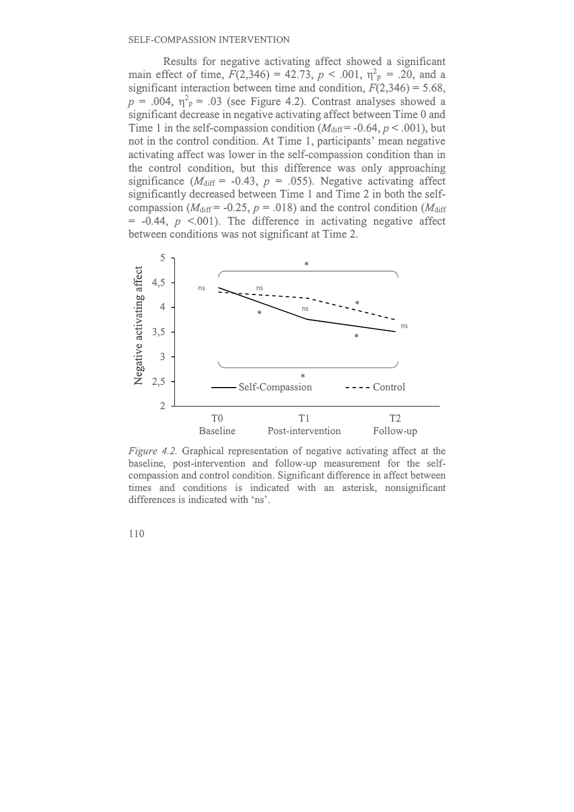Results for negative activating affect showed a significant main effect of time,  $F(2,346) = 42.73$ ,  $p < .001$ ,  $\eta_p^2 = .20$ , and a significant interaction between time and condition,  $F(2,346) = 5.68$ ,  $p = .004$ ,  $\eta^2$ <sub>p</sub> = .03 (see Figure 4.2). Contrast analyses showed a significant decrease in negative activating affect between Time 0 and Time 1 in the self-compassion condition  $(M_{\text{diff}} = -0.64, p < .001)$ , but not in the control condition. At Time 1, participants' mean negative activating affect was lower in the self-compassion condition than in the control condition, but this difference was only approaching significance ( $M_{\text{diff}}$  = -0.43,  $p = .055$ ). Negative activating affect significantly decreased between Time 1 and Time 2 in both the selfcompassion ( $M_{\text{diff}}$  = -0.25,  $p = .018$ ) and the control condition ( $M_{\text{diff}}$ )  $= -0.44$ ,  $p \le 0.001$ ). The difference in activating negative affect between conditions was not significant at Time 2.



*Figure 4.2.* Graphical representation of negative activating affect at the baseline, post-intervention and follow-up measurement for the selfcompassion and control condition. Significant difference in affect between times and conditions is indicated with an asterisk, nonsignificant differences is indicated with 'ns'.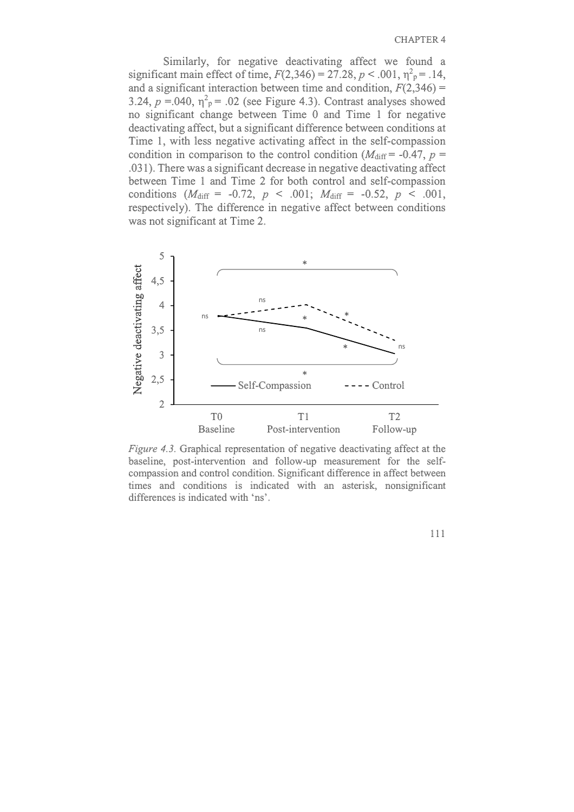Similarly, for negative deactivating affect we found a significant main effect of time,  $F(2,346) = 27.28$ ,  $p < .001$ ,  $\eta^2 p = .14$ , and a significant interaction between time and condition,  $F(2,346)$  = 3.24,  $p = 0.040$ ,  $\eta^2$ <sub>p</sub> = .02 (see Figure 4.3). Contrast analyses showed no significant change between Time 0 and Time 1 for negative deactivating affect, but a significant difference between conditions at Time 1, with less negative activating affect in the self-compassion condition in comparison to the control condition ( $M_{\text{diff}}$  = -0.47,  $p =$ .031). There was a significant decrease in negative deactivating affect between Time 1 and Time 2 for both control and self-compassion conditions  $(M_{\text{diff}} = -0.72, p \le .001; M_{\text{diff}} = -0.52, p \le .001,$ respectively). The difference in negative affect between conditions was not significant at Time 2.



*Figure 4.3.* Graphical representation of negative deactivating affect at the baseline, post-intervention and follow-up measurement for the selfcompassion and control condition. Significant difference in affect between times and conditions is indicated with an asterisk, nonsignificant differences is indicated with 'ns'.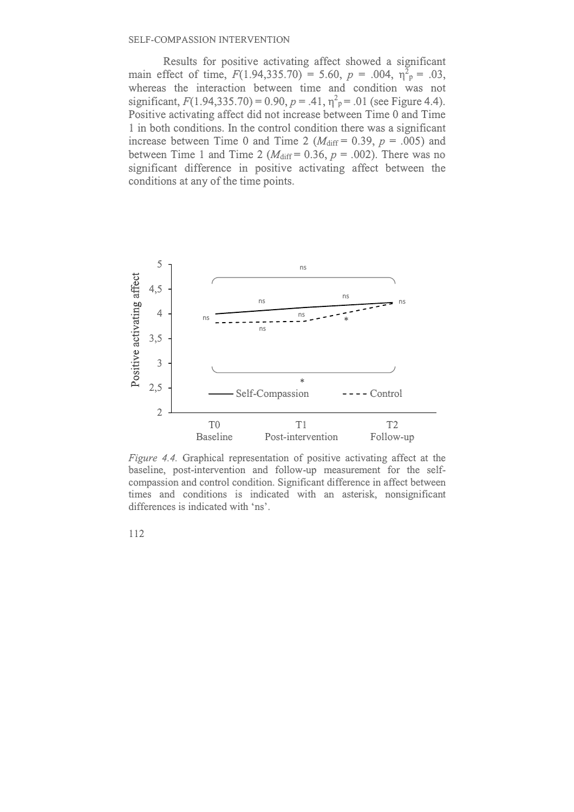Results for positive activating affect showed a significant main effect of time,  $F(1.94,335.70) = 5.60$ ,  $p = .004$ ,  $\eta^2 = .03$ , whereas the interaction between time and condition was not significant,  $F(1.94,335.70) = 0.90$ ,  $p = .41$ ,  $\eta^2$ <sub>p</sub> = .01 (see Figure 4.4). Positive activating affect did not increase between Time 0 and Time 1 in both conditions. In the control condition there was a significant increase between Time 0 and Time 2 ( $M_{\text{diff}} = 0.39$ ,  $p = .005$ ) and between Time 1 and Time 2 ( $M_{\text{diff}} = 0.36$ ,  $p = .002$ ). There was no significant difference in positive activating affect between the conditions at any of the time points.



*Figure 4.4.* Graphical representation of positive activating affect at the baseline, post-intervention and follow-up measurement for the selfcompassion and control condition. Significant difference in affect between times and conditions is indicated with an asterisk, nonsignificant differences is indicated with 'ns'.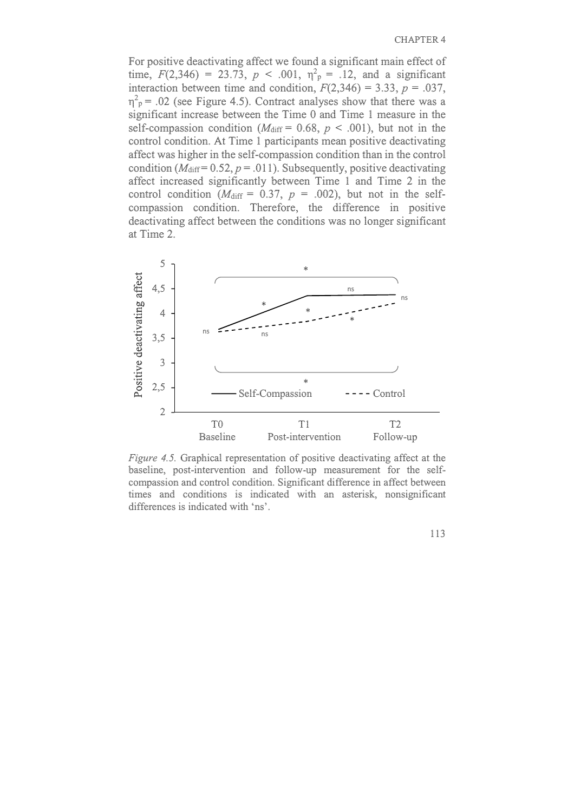For positive deactivating affect we found a significant main effect of time,  $F(2,346) = 23.73$ ,  $p < .001$ ,  $\eta_p^2 = .12$ , and a significant interaction between time and condition,  $F(2,346) = 3.33$ ,  $p = .037$ ,  $\eta^2$ <sub>p</sub> = .02 (see Figure 4.5). Contract analyses show that there was a significant increase between the Time 0 and Time 1 measure in the self-compassion condition ( $M_{\text{diff}} = 0.68$ ,  $p < .001$ ), but not in the control condition. At Time 1 participants mean positive deactivating affect was higher in the self-compassion condition than in the control condition ( $M_{\text{diff}}$  = 0.52,  $p = .011$ ). Subsequently, positive deactivating affect increased significantly between Time 1 and Time 2 in the control condition ( $M_{\text{diff}} = 0.37$ ,  $p = .002$ ), but not in the selfcompassion condition. Therefore, the difference in positive deactivating affect between the conditions was no longer significant at Time 2.



*Figure 4.5.* Graphical representation of positive deactivating affect at the baseline, post-intervention and follow-up measurement for the selfcompassion and control condition. Significant difference in affect between times and conditions is indicated with an asterisk, nonsignificant differences is indicated with 'ns'.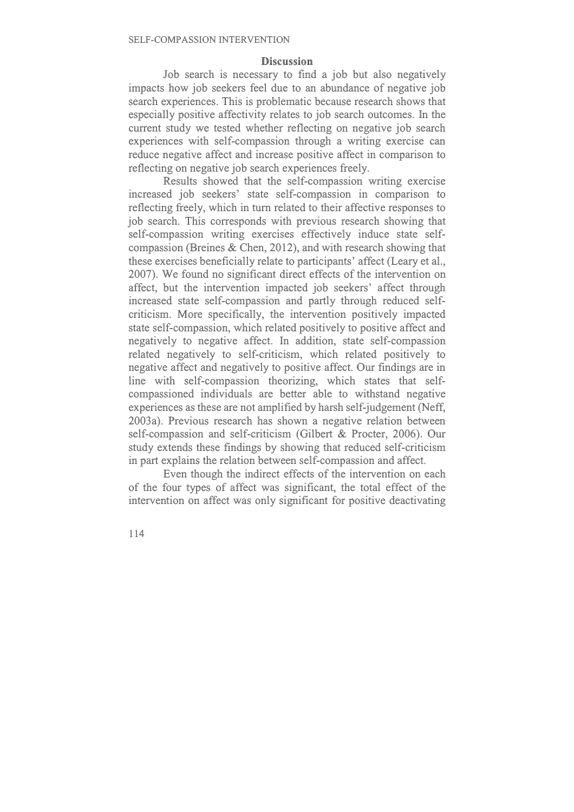#### **Discussion**

Job search is necessary to find a job but also negatively impacts how job seekers feel due to an abundance of negative job search experiences. This is problematic because research shows that especially positive affectivity relates to job search outcomes. In the current study we tested whether reflecting on negative job search experiences with self-compassion through a writing exercise can reduce negative affect and increase positive affect in comparison to reflecting on negative job search experiences freely.

Results showed that the self-compassion writing exercise increased job seekers' state self-compassion in comparison to reflecting freely, which in turn related to their affective responses to job search. This corresponds with previous research showing that self-compassion writing exercises effectively induce state selfcompassion (Breines & Chen, 2012), and with research showing that these exercises beneficially relate to participants' affect (Leary et al., 2007). We found no significant direct effects of the intervention on affect, but the intervention impacted job seekers' affect through increased state self-compassion and partly through reduced selfcriticism. More specifically, the intervention positively impacted state self-compassion, which related positively to positive affect and negatively to negative affect. In addition, state self-compassion related negatively to self-criticism, which related positively to negative affect and negatively to positive affect. Our findings are in line with self-compassion theorizing, which states that selfcompassioned individuals are better able to withstand negative experiences as these are not amplified by harsh self-judgement (Neff, 2003a). Previous research has shown a negative relation between self-compassion and self-criticism (Gilbert & Procter, 2006). Our study extends these findings by showing that reduced self-criticism in part explains the relation between self-compassion and affect.

Even though the indirect effects of the intervention on each of the four types of affect was significant, the total effect of the intervention on affect was only significant for positive deactivating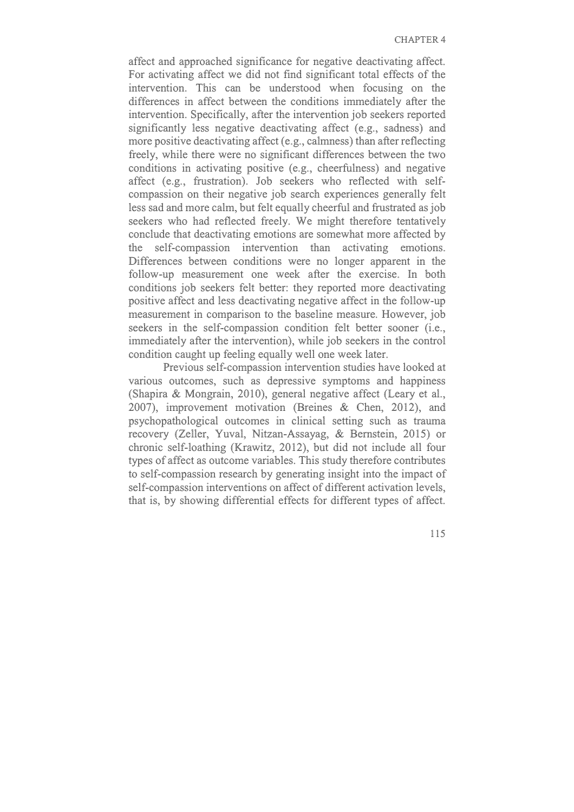affect and approached significance for negative deactivating affect. For activating affect we did not find significant total effects of the intervention. This can be understood when focusing on the differences in affect between the conditions immediately after the intervention. Specifically, after the intervention job seekers reported significantly less negative deactivating affect (e.g., sadness) and more positive deactivating affect (e.g., calmness) than after reflecting freely, while there were no significant differences between the two conditions in activating positive (e.g., cheerfulness) and negative affect (e.g., frustration). Job seekers who reflected with selfcompassion on their negative job search experiences generally felt less sad and more calm, but felt equally cheerful and frustrated as job seekers who had reflected freely. We might therefore tentatively conclude that deactivating emotions are somewhat more affected by the self-compassion intervention than activating emotions. Differences between conditions were no longer apparent in the follow-up measurement one week after the exercise. In both conditions job seekers felt better: they reported more deactivating positive affect and less deactivating negative affect in the follow-up measurement in comparison to the baseline measure. However, job seekers in the self-compassion condition felt better sooner (i.e., immediately after the intervention), while job seekers in the control condition caught up feeling equally well one week later.

Previous self-compassion intervention studies have looked at various outcomes, such as depressive symptoms and happiness (Shapira & Mongrain, 2010), general negative affect (Leary et al., 2007), improvement motivation (Breines & Chen, 2012), and psychopathological outcomes in clinical setting such as trauma recovery (Zeller, Yuval, Nitzan-Assayag, & Bernstein, 2015) or chronic self-loathing (Krawitz, 2012), but did not include all four types of affect as outcome variables. This study therefore contributes to self-compassion research by generating insight into the impact of self-compassion interventions on affect of different activation levels, that is, by showing differential effects for different types of affect.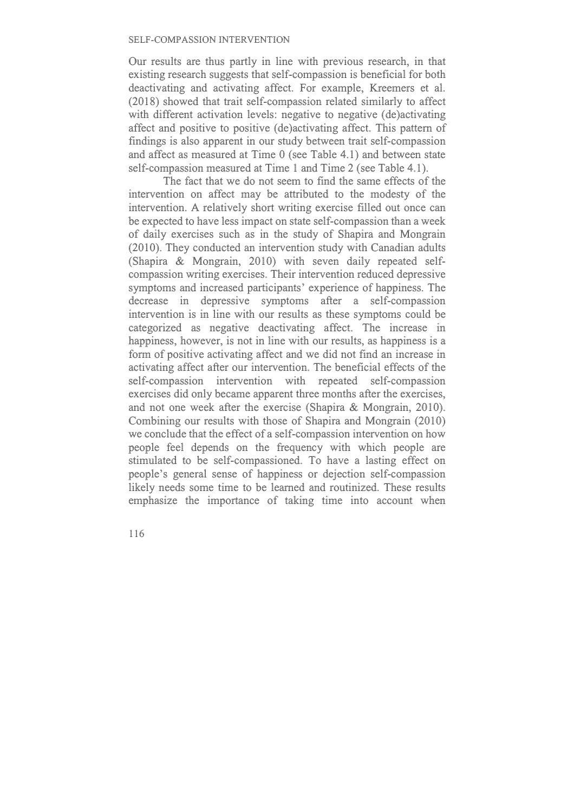Our results are thus partly in line with previous research, in that existing research suggests that self-compassion is beneficial for both deactivating and activating affect. For example, Kreemers et al. (2018) showed that trait self-compassion related similarly to affect with different activation levels: negative to negative (de)activating affect and positive to positive (de)activating affect. This pattern of findings is also apparent in our study between trait self-compassion and affect as measured at Time 0 (see Table 4.1) and between state self-compassion measured at Time 1 and Time 2 (see Table 4.1).

The fact that we do not seem to find the same effects of the intervention on affect may be attributed to the modesty of the intervention. A relatively short writing exercise filled out once can be expected to have less impact on state self-compassion than a week of daily exercises such as in the study of Shapira and Mongrain (2010). They conducted an intervention study with Canadian adults (Shapira & Mongrain, 2010) with seven daily repeated selfcompassion writing exercises. Their intervention reduced depressive symptoms and increased participants' experience of happiness. The decrease in depressive symptoms after a self-compassion intervention is in line with our results as these symptoms could be categorized as negative deactivating affect. The increase in happiness, however, is not in line with our results, as happiness is a form of positive activating affect and we did not find an increase in activating affect after our intervention. The beneficial effects of the self-compassion intervention with repeated self-compassion exercises did only became apparent three months after the exercises, and not one week after the exercise (Shapira & Mongrain, 2010). Combining our results with those of Shapira and Mongrain (2010) we conclude that the effect of a self-compassion intervention on how people feel depends on the frequency with which people are stimulated to be self-compassioned. To have a lasting effect on people's general sense of happiness or dejection self-compassion likely needs some time to be learned and routinized. These results emphasize the importance of taking time into account when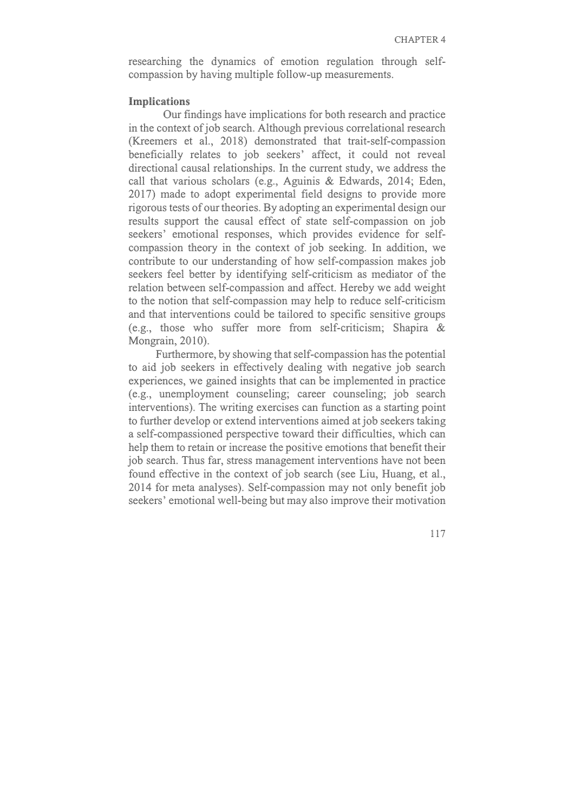researching the dynamics of emotion regulation through selfcompassion by having multiple follow-up measurements.

## **Implications**

Our findings have implications for both research and practice in the context of job search. Although previous correlational research (Kreemers et al., 2018) demonstrated that trait-self-compassion beneficially relates to job seekers' affect, it could not reveal directional causal relationships. In the current study, we address the call that various scholars (e.g., Aguinis & Edwards, 2014; Eden, 2017) made to adopt experimental field designs to provide more rigorous tests of our theories. By adopting an experimental design our results support the causal effect of state self-compassion on job seekers' emotional responses, which provides evidence for selfcompassion theory in the context of job seeking. In addition, we contribute to our understanding of how self-compassion makes job seekers feel better by identifying self-criticism as mediator of the relation between self-compassion and affect. Hereby we add weight to the notion that self-compassion may help to reduce self-criticism and that interventions could be tailored to specific sensitive groups (e.g., those who suffer more from self-criticism; Shapira & Mongrain, 2010).

Furthermore, by showing that self-compassion has the potential to aid job seekers in effectively dealing with negative job search experiences, we gained insights that can be implemented in practice (e.g., unemployment counseling; career counseling; job search interventions). The writing exercises can function as a starting point to further develop or extend interventions aimed at job seekers taking a self-compassioned perspective toward their difficulties, which can help them to retain or increase the positive emotions that benefit their job search. Thus far, stress management interventions have not been found effective in the context of job search (see Liu, Huang, et al., 2014 for meta analyses). Self-compassion may not only benefit job seekers' emotional well-being but may also improve their motivation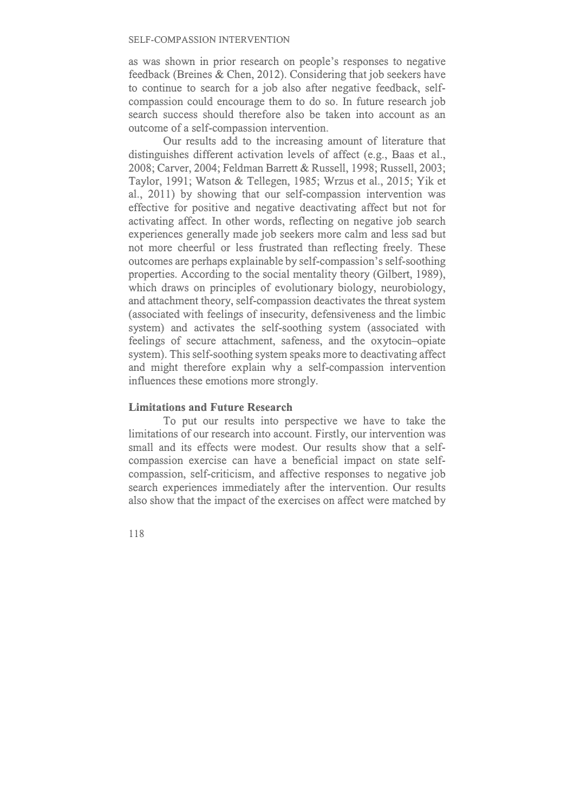as was shown in prior research on people's responses to negative feedback (Breines & Chen, 2012). Considering that job seekers have to continue to search for a job also after negative feedback, selfcompassion could encourage them to do so. In future research job search success should therefore also be taken into account as an outcome of a self-compassion intervention.

Our results add to the increasing amount of literature that distinguishes different activation levels of affect (e.g., Baas et al., 2008; Carver, 2004; Feldman Barrett & Russell, 1998; Russell, 2003; Taylor, 1991; Watson & Tellegen, 1985; Wrzus et al., 2015; Yik et al., 2011) by showing that our self-compassion intervention was effective for positive and negative deactivating affect but not for activating affect. In other words, reflecting on negative job search experiences generally made job seekers more calm and less sad but not more cheerful or less frustrated than reflecting freely. These outcomes are perhaps explainable by self-compassion's self-soothing properties. According to the social mentality theory (Gilbert, 1989), which draws on principles of evolutionary biology, neurobiology, and attachment theory, self-compassion deactivates the threat system (associated with feelings of insecurity, defensiveness and the limbic system) and activates the self-soothing system (associated with feelings of secure attachment, safeness, and the oxytocin–opiate system). This self-soothing system speaks more to deactivating affect and might therefore explain why a self-compassion intervention influences these emotions more strongly.

## **Limitations and Future Research**

To put our results into perspective we have to take the limitations of our research into account. Firstly, our intervention was small and its effects were modest. Our results show that a selfcompassion exercise can have a beneficial impact on state selfcompassion, self-criticism, and affective responses to negative job search experiences immediately after the intervention. Our results also show that the impact of the exercises on affect were matched by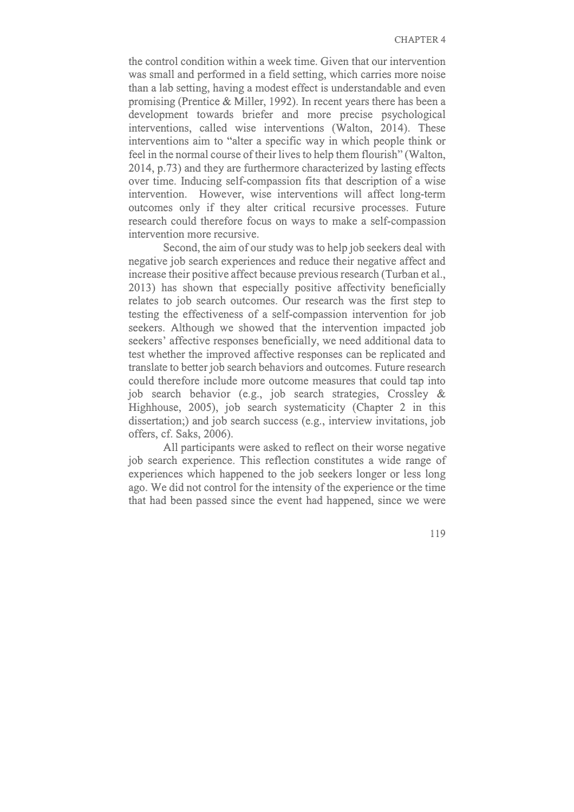the control condition within a week time. Given that our intervention was small and performed in a field setting, which carries more noise than a lab setting, having a modest effect is understandable and even promising (Prentice & Miller, 1992). In recent years there has been a development towards briefer and more precise psychological interventions, called wise interventions (Walton, 2014). These interventions aim to "alter a specific way in which people think or feel in the normal course of their lives to help them flourish" (Walton, 2014, p.73) and they are furthermore characterized by lasting effects over time. Inducing self-compassion fits that description of a wise intervention. However, wise interventions will affect long-term outcomes only if they alter critical recursive processes. Future research could therefore focus on ways to make a self-compassion intervention more recursive.

Second, the aim of our study was to help job seekers deal with negative job search experiences and reduce their negative affect and increase their positive affect because previous research (Turban et al., 2013) has shown that especially positive affectivity beneficially relates to job search outcomes. Our research was the first step to testing the effectiveness of a self-compassion intervention for job seekers. Although we showed that the intervention impacted job seekers' affective responses beneficially, we need additional data to test whether the improved affective responses can be replicated and translate to better job search behaviors and outcomes. Future research could therefore include more outcome measures that could tap into job search behavior (e.g., job search strategies, Crossley & Highhouse, 2005), job search systematicity (Chapter 2 in this dissertation;) and job search success (e.g., interview invitations, job offers, cf. Saks, 2006).

All participants were asked to reflect on their worse negative job search experience. This reflection constitutes a wide range of experiences which happened to the job seekers longer or less long ago. We did not control for the intensity of the experience or the time that had been passed since the event had happened, since we were